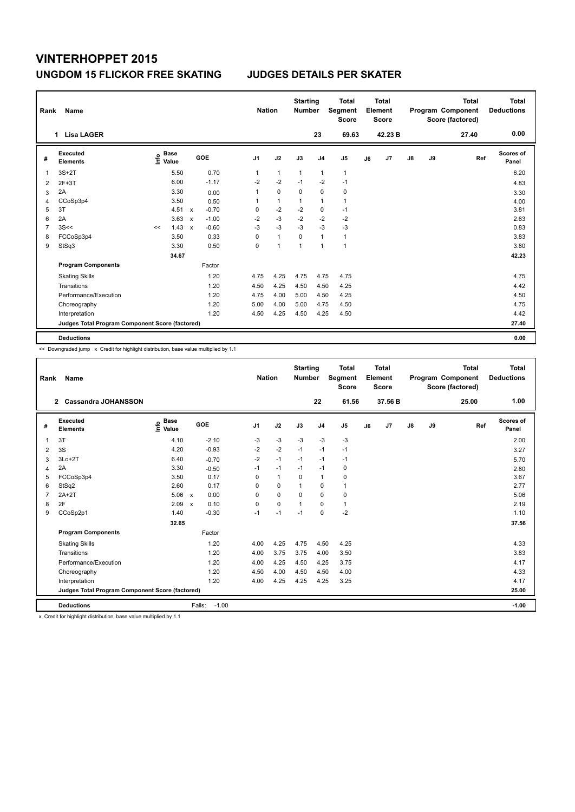| Rank           | Name                                            |    |                                  |              |         | <b>Nation</b>  |              | <b>Starting</b><br><b>Number</b> |                | <b>Total</b><br>Segment<br><b>Score</b> |    | <b>Total</b><br>Element<br><b>Score</b> |               |    | <b>Total</b><br>Program Component<br>Score (factored) | <b>Total</b><br><b>Deductions</b> |
|----------------|-------------------------------------------------|----|----------------------------------|--------------|---------|----------------|--------------|----------------------------------|----------------|-----------------------------------------|----|-----------------------------------------|---------------|----|-------------------------------------------------------|-----------------------------------|
|                | <b>Lisa LAGER</b><br>1                          |    |                                  |              |         |                |              |                                  | 23             | 69.63                                   |    | 42.23 B                                 |               |    | 27.40                                                 | 0.00                              |
| #              | Executed<br><b>Elements</b>                     |    | <b>Base</b><br>e Base<br>⊆ Value |              | GOE     | J <sub>1</sub> | J2           | J3                               | J <sub>4</sub> | J5                                      | J6 | J7                                      | $\mathsf{J}8$ | J9 | Ref                                                   | Scores of<br>Panel                |
| 1              | $3S+2T$                                         |    | 5.50                             |              | 0.70    | 1              | $\mathbf{1}$ | $\mathbf{1}$                     | $\mathbf{1}$   | $\mathbf{1}$                            |    |                                         |               |    |                                                       | 6.20                              |
| $\overline{2}$ | $2F+3T$                                         |    | 6.00                             |              | $-1.17$ | $-2$           | $-2$         | $-1$                             | $-2$           | $-1$                                    |    |                                         |               |    |                                                       | 4.83                              |
| 3              | 2A                                              |    | 3.30                             |              | 0.00    | 1              | $\mathbf 0$  | 0                                | $\mathbf 0$    | 0                                       |    |                                         |               |    |                                                       | 3.30                              |
| 4              | CCoSp3p4                                        |    | 3.50                             |              | 0.50    | 1              | $\mathbf{1}$ | $\overline{1}$                   | $\overline{1}$ | $\mathbf{1}$                            |    |                                         |               |    |                                                       | 4.00                              |
| 5              | 3T                                              |    | 4.51                             | $\mathsf{x}$ | $-0.70$ | 0              | $-2$         | $-2$                             | 0              | $-1$                                    |    |                                         |               |    |                                                       | 3.81                              |
| 6              | 2A                                              |    | 3.63                             | $\mathsf{x}$ | $-1.00$ | $-2$           | $-3$         | $-2$                             | $-2$           | $-2$                                    |    |                                         |               |    |                                                       | 2.63                              |
| $\overline{7}$ | 3S<<                                            | << | 1.43                             | $\mathsf{x}$ | $-0.60$ | $-3$           | $-3$         | $-3$                             | $-3$           | $-3$                                    |    |                                         |               |    |                                                       | 0.83                              |
| 8              | FCCoSp3p4                                       |    | 3.50                             |              | 0.33    | 0              | $\mathbf{1}$ | 0                                | $\overline{1}$ | $\mathbf{1}$                            |    |                                         |               |    |                                                       | 3.83                              |
| 9              | StSq3                                           |    | 3.30                             |              | 0.50    | 0              | 1            | 1                                | 1              | $\mathbf{1}$                            |    |                                         |               |    |                                                       | 3.80                              |
|                |                                                 |    | 34.67                            |              |         |                |              |                                  |                |                                         |    |                                         |               |    |                                                       | 42.23                             |
|                | <b>Program Components</b>                       |    |                                  |              | Factor  |                |              |                                  |                |                                         |    |                                         |               |    |                                                       |                                   |
|                | <b>Skating Skills</b>                           |    |                                  |              | 1.20    | 4.75           | 4.25         | 4.75                             | 4.75           | 4.75                                    |    |                                         |               |    |                                                       | 4.75                              |
|                | Transitions                                     |    |                                  |              | 1.20    | 4.50           | 4.25         | 4.50                             | 4.50           | 4.25                                    |    |                                         |               |    |                                                       | 4.42                              |
|                | Performance/Execution                           |    |                                  |              | 1.20    | 4.75           | 4.00         | 5.00                             | 4.50           | 4.25                                    |    |                                         |               |    |                                                       | 4.50                              |
|                | Choreography                                    |    |                                  |              | 1.20    | 5.00           | 4.00         | 5.00                             | 4.75           | 4.50                                    |    |                                         |               |    |                                                       | 4.75                              |
|                | Interpretation                                  |    |                                  |              | 1.20    | 4.50           | 4.25         | 4.50                             | 4.25           | 4.50                                    |    |                                         |               |    |                                                       | 4.42                              |
|                | Judges Total Program Component Score (factored) |    |                                  |              |         |                |              |                                  |                |                                         |    |                                         |               |    |                                                       | 27.40                             |
|                | <b>Deductions</b>                               |    |                                  |              |         |                |              |                                  |                |                                         |    |                                         |               |    |                                                       | 0.00                              |

<< Downgraded jump x Credit for highlight distribution, base value multiplied by 1.1

| Rank           | Name                                            |                                  |                                   | <b>Nation</b>  |              | <b>Starting</b><br><b>Number</b> |                | <b>Total</b><br>Segment<br><b>Score</b> |    | <b>Total</b><br>Element<br><b>Score</b> |    |    | <b>Total</b><br>Program Component<br>Score (factored) | <b>Total</b><br><b>Deductions</b> |
|----------------|-------------------------------------------------|----------------------------------|-----------------------------------|----------------|--------------|----------------------------------|----------------|-----------------------------------------|----|-----------------------------------------|----|----|-------------------------------------------------------|-----------------------------------|
|                | <b>Cassandra JOHANSSON</b><br>$\mathbf{2}$      |                                  |                                   |                |              |                                  | 22             | 61.56                                   |    | 37.56 B                                 |    |    | 25.00                                                 | 1.00                              |
| #              | Executed<br><b>Elements</b>                     | <b>Base</b><br>e Base<br>⊆ Value | GOE                               | J <sub>1</sub> | J2           | J3                               | J <sub>4</sub> | J <sub>5</sub>                          | J6 | J7                                      | J8 | J9 | Ref                                                   | <b>Scores of</b><br>Panel         |
| 1              | 3T                                              | 4.10                             | $-2.10$                           | $-3$           | $-3$         | $-3$                             | $-3$           | $-3$                                    |    |                                         |    |    |                                                       | 2.00                              |
| 2              | 3S                                              | 4.20                             | $-0.93$                           | $-2$           | $-2$         | $-1$                             | $-1$           | $-1$                                    |    |                                         |    |    |                                                       | 3.27                              |
| 3              | $3Lo+2T$                                        | 6.40                             | $-0.70$                           | $-2$           | $-1$         | $-1$                             | $-1$           | $-1$                                    |    |                                         |    |    |                                                       | 5.70                              |
| 4              | 2A                                              | 3.30                             | $-0.50$                           | $-1$           | $-1$         | $-1$                             | $-1$           | 0                                       |    |                                         |    |    |                                                       | 2.80                              |
| 5              | FCCoSp3p4                                       | 3.50                             | 0.17                              | 0              | $\mathbf{1}$ | 0                                | $\mathbf{1}$   | 0                                       |    |                                         |    |    |                                                       | 3.67                              |
| 6              | StSq2                                           | 2.60                             | 0.17                              | $\Omega$       | $\Omega$     | 1                                | $\Omega$       | 1                                       |    |                                         |    |    |                                                       | 2.77                              |
| $\overline{7}$ | $2A+2T$                                         | 5.06                             | 0.00<br>$\boldsymbol{\mathsf{x}}$ | 0              | $\mathbf 0$  | $\Omega$                         | $\mathbf 0$    | 0                                       |    |                                         |    |    |                                                       | 5.06                              |
| 8              | 2F                                              | 2.09                             | 0.10<br>$\boldsymbol{\mathsf{x}}$ | 0              | $\mathbf 0$  | $\overline{1}$                   | $\Omega$       | $\mathbf{1}$                            |    |                                         |    |    |                                                       | 2.19                              |
| 9              | CCoSp2p1                                        | 1.40                             | $-0.30$                           | $-1$           | $-1$         | $-1$                             | $\Omega$       | $-2$                                    |    |                                         |    |    |                                                       | 1.10                              |
|                |                                                 | 32.65                            |                                   |                |              |                                  |                |                                         |    |                                         |    |    |                                                       | 37.56                             |
|                | <b>Program Components</b>                       |                                  | Factor                            |                |              |                                  |                |                                         |    |                                         |    |    |                                                       |                                   |
|                | <b>Skating Skills</b>                           |                                  | 1.20                              | 4.00           | 4.25         | 4.75                             | 4.50           | 4.25                                    |    |                                         |    |    |                                                       | 4.33                              |
|                | Transitions                                     |                                  | 1.20                              | 4.00           | 3.75         | 3.75                             | 4.00           | 3.50                                    |    |                                         |    |    |                                                       | 3.83                              |
|                | Performance/Execution                           |                                  | 1.20                              | 4.00           | 4.25         | 4.50                             | 4.25           | 3.75                                    |    |                                         |    |    |                                                       | 4.17                              |
|                | Choreography                                    |                                  | 1.20                              | 4.50           | 4.00         | 4.50                             | 4.50           | 4.00                                    |    |                                         |    |    |                                                       | 4.33                              |
|                | Interpretation                                  |                                  | 1.20                              | 4.00           | 4.25         | 4.25                             | 4.25           | 3.25                                    |    |                                         |    |    |                                                       | 4.17                              |
|                | Judges Total Program Component Score (factored) |                                  |                                   |                |              |                                  |                |                                         |    |                                         |    |    |                                                       | 25.00                             |
|                | <b>Deductions</b>                               |                                  | $-1.00$<br>Falls:                 |                |              |                                  |                |                                         |    |                                         |    |    |                                                       | $-1.00$                           |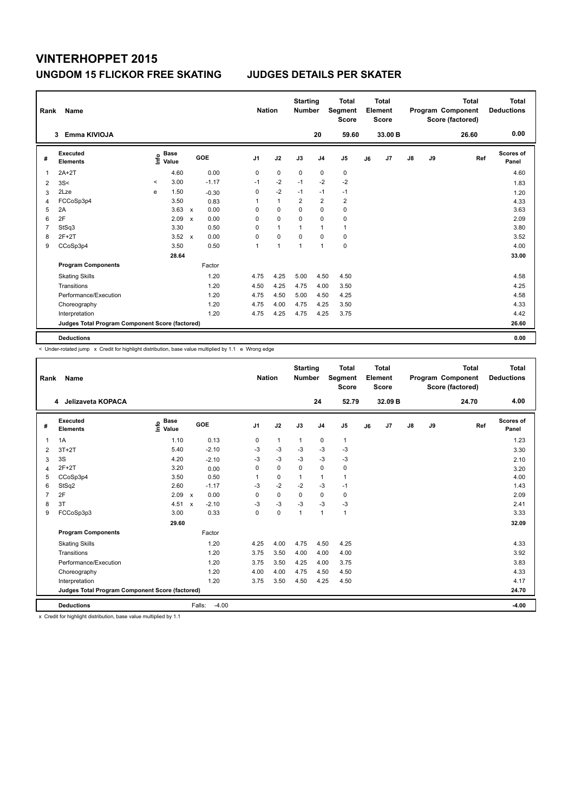| Rank           | Name                                            |         |                                  |                           |            |                | <b>Nation</b> |                | <b>Starting</b><br><b>Number</b> | Segment        | <b>Total</b><br><b>Score</b> |    | <b>Total</b><br>Element<br><b>Score</b> |    |    | <b>Total</b><br>Program Component<br>Score (factored) | Total<br><b>Deductions</b> |
|----------------|-------------------------------------------------|---------|----------------------------------|---------------------------|------------|----------------|---------------|----------------|----------------------------------|----------------|------------------------------|----|-----------------------------------------|----|----|-------------------------------------------------------|----------------------------|
|                | Emma KIVIOJA<br>3                               |         |                                  |                           |            |                |               |                | 20                               |                | 59.60                        |    | 33.00 B                                 |    |    | 26.60                                                 | 0.00                       |
| #              | <b>Executed</b><br><b>Elements</b>              |         | <b>Base</b><br>e Base<br>⊆ Value |                           | <b>GOE</b> | J <sub>1</sub> | J2            | J3             | J <sub>4</sub>                   | J5             |                              | J6 | J7                                      | J8 | J9 | Ref                                                   | <b>Scores of</b><br>Panel  |
| 1              | $2A+2T$                                         |         | 4.60                             |                           | 0.00       | 0              | $\mathbf 0$   | $\mathbf 0$    | $\mathbf 0$                      | $\pmb{0}$      |                              |    |                                         |    |    |                                                       | 4.60                       |
| $\overline{2}$ | 3S<                                             | $\,<\,$ | 3.00                             |                           | $-1.17$    | $-1$           | $-2$          | $-1$           | $-2$                             | $-2$           |                              |    |                                         |    |    |                                                       | 1.83                       |
| 3              | 2Lze                                            | e       | 1.50                             |                           | $-0.30$    | 0              | $-2$          | $-1$           | $-1$                             | $-1$           |                              |    |                                         |    |    |                                                       | 1.20                       |
| 4              | FCCoSp3p4                                       |         | 3.50                             |                           | 0.83       | 1              | $\mathbf{1}$  | $\overline{2}$ | $\overline{2}$                   | $\overline{2}$ |                              |    |                                         |    |    |                                                       | 4.33                       |
| 5              | 2A                                              |         | 3.63                             | $\mathsf{x}$              | 0.00       | 0              | 0             | 0              | 0                                | 0              |                              |    |                                         |    |    |                                                       | 3.63                       |
| 6              | 2F                                              |         | 2.09                             | $\mathsf{x}$              | 0.00       | 0              | $\Omega$      | 0              | $\mathbf 0$                      | 0              |                              |    |                                         |    |    |                                                       | 2.09                       |
| 7              | StSq3                                           |         | 3.30                             |                           | 0.50       | 0              | $\mathbf{1}$  | $\overline{1}$ | $\overline{1}$                   | $\mathbf{1}$   |                              |    |                                         |    |    |                                                       | 3.80                       |
| 8              | $2F+2T$                                         |         | 3.52                             | $\boldsymbol{\mathsf{x}}$ | 0.00       | 0              | $\mathbf 0$   | $\mathbf 0$    | $\mathbf 0$                      | $\pmb{0}$      |                              |    |                                         |    |    |                                                       | 3.52                       |
| 9              | CCoSp3p4                                        |         | 3.50                             |                           | 0.50       | 1              | 1             | 1              | $\overline{1}$                   | $\pmb{0}$      |                              |    |                                         |    |    |                                                       | 4.00                       |
|                |                                                 |         | 28.64                            |                           |            |                |               |                |                                  |                |                              |    |                                         |    |    |                                                       | 33.00                      |
|                | <b>Program Components</b>                       |         |                                  |                           | Factor     |                |               |                |                                  |                |                              |    |                                         |    |    |                                                       |                            |
|                | <b>Skating Skills</b>                           |         |                                  |                           | 1.20       | 4.75           | 4.25          | 5.00           | 4.50                             | 4.50           |                              |    |                                         |    |    |                                                       | 4.58                       |
|                | Transitions                                     |         |                                  |                           | 1.20       | 4.50           | 4.25          | 4.75           | 4.00                             | 3.50           |                              |    |                                         |    |    |                                                       | 4.25                       |
|                | Performance/Execution                           |         |                                  |                           | 1.20       | 4.75           | 4.50          | 5.00           | 4.50                             | 4.25           |                              |    |                                         |    |    |                                                       | 4.58                       |
|                | Choreography                                    |         |                                  |                           | 1.20       | 4.75           | 4.00          | 4.75           | 4.25                             | 3.50           |                              |    |                                         |    |    |                                                       | 4.33                       |
|                | Interpretation                                  |         |                                  |                           | 1.20       | 4.75           | 4.25          | 4.75           | 4.25                             | 3.75           |                              |    |                                         |    |    |                                                       | 4.42                       |
|                | Judges Total Program Component Score (factored) |         |                                  |                           |            |                |               |                |                                  |                |                              |    |                                         |    |    |                                                       | 26.60                      |
|                | <b>Deductions</b>                               |         |                                  |                           |            |                |               |                |                                  |                |                              |    |                                         |    |    |                                                       | 0.00                       |

< Under-rotated jump x Credit for highlight distribution, base value multiplied by 1.1 e Wrong edge

| Rank           | Name                                            |                                  |                           |         | <b>Nation</b>  |              | <b>Starting</b><br><b>Number</b> |                | <b>Total</b><br>Segment<br><b>Score</b> |    | <b>Total</b><br>Element<br><b>Score</b> |    |    | <b>Total</b><br>Program Component<br>Score (factored) | <b>Total</b><br><b>Deductions</b> |
|----------------|-------------------------------------------------|----------------------------------|---------------------------|---------|----------------|--------------|----------------------------------|----------------|-----------------------------------------|----|-----------------------------------------|----|----|-------------------------------------------------------|-----------------------------------|
|                | 4 Jelizaveta KOPACA                             |                                  |                           |         |                |              |                                  | 24             | 52.79                                   |    | 32.09 B                                 |    |    | 24.70                                                 | 4.00                              |
| #              | Executed<br><b>Elements</b>                     | <b>Base</b><br>e Base<br>⊆ Value | GOE                       |         | J <sub>1</sub> | J2           | J3                               | J <sub>4</sub> | J <sub>5</sub>                          | J6 | J <sub>7</sub>                          | J8 | J9 | Ref                                                   | <b>Scores of</b><br>Panel         |
| $\mathbf{1}$   | 1A                                              | 1.10                             |                           | 0.13    | 0              | $\mathbf{1}$ | $\mathbf{1}$                     | $\mathbf 0$    | $\mathbf{1}$                            |    |                                         |    |    |                                                       | 1.23                              |
| 2              | $3T+2T$                                         | 5.40                             |                           | $-2.10$ | $-3$           | $-3$         | $-3$                             | $-3$           | $-3$                                    |    |                                         |    |    |                                                       | 3.30                              |
| 3              | 3S                                              | 4.20                             |                           | $-2.10$ | $-3$           | $-3$         | $-3$                             | $-3$           | $-3$                                    |    |                                         |    |    |                                                       | 2.10                              |
| $\overline{4}$ | $2F+2T$                                         | 3.20                             |                           | 0.00    | $\Omega$       | $\mathbf 0$  | $\Omega$                         | $\Omega$       | 0                                       |    |                                         |    |    |                                                       | 3.20                              |
| 5              | CCoSp3p4                                        | 3.50                             |                           | 0.50    | 1              | $\mathbf 0$  | 1                                | $\mathbf{1}$   | 1                                       |    |                                         |    |    |                                                       | 4.00                              |
| 6              | StSq2                                           | 2.60                             |                           | $-1.17$ | $-3$           | $-2$         | $-2$                             | $-3$           | $-1$                                    |    |                                         |    |    |                                                       | 1.43                              |
| $\overline{7}$ | 2F                                              | 2.09                             | $\boldsymbol{\mathsf{x}}$ | 0.00    | 0              | $\pmb{0}$    | $\mathbf 0$                      | $\mathbf 0$    | 0                                       |    |                                         |    |    |                                                       | 2.09                              |
| 8              | 3T                                              | 4.51                             | $\boldsymbol{\mathsf{x}}$ | $-2.10$ | $-3$           | $-3$         | $-3$                             | $-3$           | $-3$                                    |    |                                         |    |    |                                                       | 2.41                              |
| 9              | FCCoSp3p3                                       | 3.00                             |                           | 0.33    | 0              | $\mathbf 0$  | $\mathbf{1}$                     | $\mathbf{1}$   | $\mathbf{1}$                            |    |                                         |    |    |                                                       | 3.33                              |
|                |                                                 | 29.60                            |                           |         |                |              |                                  |                |                                         |    |                                         |    |    |                                                       | 32.09                             |
|                | <b>Program Components</b>                       |                                  |                           | Factor  |                |              |                                  |                |                                         |    |                                         |    |    |                                                       |                                   |
|                | <b>Skating Skills</b>                           |                                  |                           | 1.20    | 4.25           | 4.00         | 4.75                             | 4.50           | 4.25                                    |    |                                         |    |    |                                                       | 4.33                              |
|                | Transitions                                     |                                  |                           | 1.20    | 3.75           | 3.50         | 4.00                             | 4.00           | 4.00                                    |    |                                         |    |    |                                                       | 3.92                              |
|                | Performance/Execution                           |                                  |                           | 1.20    | 3.75           | 3.50         | 4.25                             | 4.00           | 3.75                                    |    |                                         |    |    |                                                       | 3.83                              |
|                | Choreography                                    |                                  |                           | 1.20    | 4.00           | 4.00         | 4.75                             | 4.50           | 4.50                                    |    |                                         |    |    |                                                       | 4.33                              |
|                | Interpretation                                  |                                  |                           | 1.20    | 3.75           | 3.50         | 4.50                             | 4.25           | 4.50                                    |    |                                         |    |    |                                                       | 4.17                              |
|                | Judges Total Program Component Score (factored) |                                  |                           |         |                |              |                                  |                |                                         |    |                                         |    |    |                                                       | 24.70                             |
|                | <b>Deductions</b>                               |                                  | Falls:                    | $-4.00$ |                |              |                                  |                |                                         |    |                                         |    |    |                                                       | $-4.00$                           |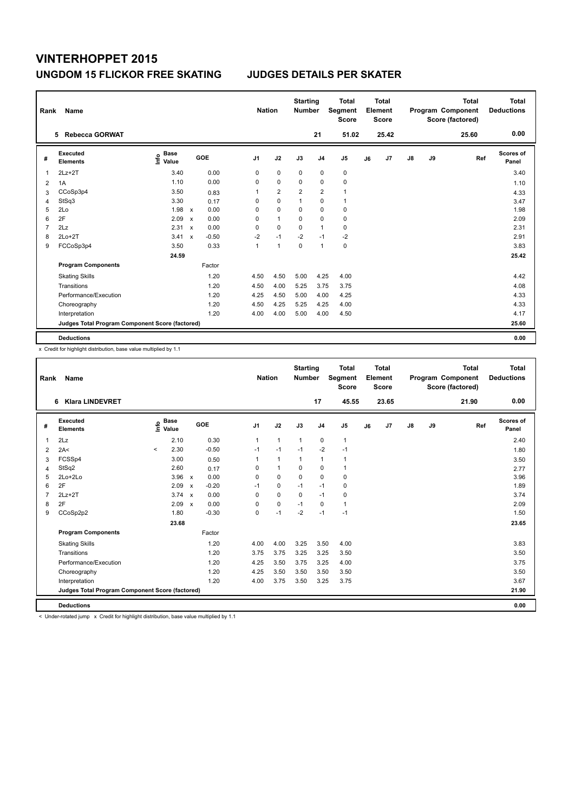| Rank | Name                                            |                                  |                           |         |      | <b>Nation</b> |                | <b>Starting</b><br><b>Number</b> |                | <b>Total</b><br>Segment<br><b>Score</b> |    | <b>Total</b><br>Element<br><b>Score</b> |               |    | <b>Total</b><br>Program Component<br>Score (factored) | <b>Total</b><br><b>Deductions</b> |
|------|-------------------------------------------------|----------------------------------|---------------------------|---------|------|---------------|----------------|----------------------------------|----------------|-----------------------------------------|----|-----------------------------------------|---------------|----|-------------------------------------------------------|-----------------------------------|
|      | <b>Rebecca GORWAT</b><br>5                      |                                  |                           |         |      |               |                |                                  | 21             | 51.02                                   |    | 25.42                                   |               |    | 25.60                                                 | 0.00                              |
| #    | Executed<br><b>Elements</b>                     | <b>Base</b><br>e Base<br>⊆ Value |                           | GOE     | J1   |               | J2             | J3                               | J <sub>4</sub> | J <sub>5</sub>                          | J6 | J7                                      | $\mathsf{J}8$ | J9 | Ref                                                   | Scores of<br>Panel                |
| 1    | $2Lz+2T$                                        | 3.40                             |                           | 0.00    | 0    |               | $\mathbf 0$    | 0                                | $\mathbf 0$    | 0                                       |    |                                         |               |    |                                                       | 3.40                              |
| 2    | 1A                                              | 1.10                             |                           | 0.00    | 0    |               | $\mathbf 0$    | $\Omega$                         | 0              | $\mathbf 0$                             |    |                                         |               |    |                                                       | 1.10                              |
| 3    | CCoSp3p4                                        | 3.50                             |                           | 0.83    | 1    |               | $\overline{2}$ | $\overline{2}$                   | $\overline{2}$ | $\mathbf{1}$                            |    |                                         |               |    |                                                       | 4.33                              |
| 4    | StSq3                                           | 3.30                             |                           | 0.17    | 0    |               | $\mathbf 0$    | 1                                | $\mathbf 0$    | $\mathbf{1}$                            |    |                                         |               |    |                                                       | 3.47                              |
| 5    | 2Lo                                             | 1.98                             | $\boldsymbol{\mathsf{x}}$ | 0.00    | 0    |               | $\mathbf 0$    | $\Omega$                         | 0              | 0                                       |    |                                         |               |    |                                                       | 1.98                              |
| 6    | 2F                                              | 2.09                             | $\boldsymbol{\mathsf{x}}$ | 0.00    | 0    |               | $\mathbf{1}$   | 0                                | $\mathbf 0$    | $\mathbf 0$                             |    |                                         |               |    |                                                       | 2.09                              |
| 7    | 2Lz                                             | 2.31                             | $\boldsymbol{\mathsf{x}}$ | 0.00    | 0    |               | $\mathbf 0$    | $\mathbf 0$                      | $\mathbf{1}$   | 0                                       |    |                                         |               |    |                                                       | 2.31                              |
| 8    | $2Lo+2T$                                        | 3.41                             | $\boldsymbol{\mathsf{x}}$ | $-0.50$ | $-2$ |               | $-1$           | $-2$                             | $-1$           | $-2$                                    |    |                                         |               |    |                                                       | 2.91                              |
| 9    | FCCoSp3p4                                       | 3.50                             |                           | 0.33    | 1    |               | 1              | $\mathbf 0$                      | $\overline{1}$ | $\mathbf 0$                             |    |                                         |               |    |                                                       | 3.83                              |
|      |                                                 | 24.59                            |                           |         |      |               |                |                                  |                |                                         |    |                                         |               |    |                                                       | 25.42                             |
|      | <b>Program Components</b>                       |                                  |                           | Factor  |      |               |                |                                  |                |                                         |    |                                         |               |    |                                                       |                                   |
|      | <b>Skating Skills</b>                           |                                  |                           | 1.20    | 4.50 |               | 4.50           | 5.00                             | 4.25           | 4.00                                    |    |                                         |               |    |                                                       | 4.42                              |
|      | Transitions                                     |                                  |                           | 1.20    | 4.50 |               | 4.00           | 5.25                             | 3.75           | 3.75                                    |    |                                         |               |    |                                                       | 4.08                              |
|      | Performance/Execution                           |                                  |                           | 1.20    | 4.25 |               | 4.50           | 5.00                             | 4.00           | 4.25                                    |    |                                         |               |    |                                                       | 4.33                              |
|      | Choreography                                    |                                  |                           | 1.20    | 4.50 |               | 4.25           | 5.25                             | 4.25           | 4.00                                    |    |                                         |               |    |                                                       | 4.33                              |
|      | Interpretation                                  |                                  |                           | 1.20    | 4.00 |               | 4.00           | 5.00                             | 4.00           | 4.50                                    |    |                                         |               |    |                                                       | 4.17                              |
|      | Judges Total Program Component Score (factored) |                                  |                           |         |      |               |                |                                  |                |                                         |    |                                         |               |    |                                                       | 25.60                             |
|      | <b>Deductions</b>                               |                                  |                           |         |      |               |                |                                  |                |                                         |    |                                         |               |    |                                                       | 0.00                              |

x Credit for highlight distribution, base value multiplied by 1.1

| Rank           | Name                                            |         |                                  |                           |         |                | <b>Nation</b>  | <b>Starting</b><br><b>Number</b> |                | <b>Total</b><br><b>Segment</b><br><b>Score</b> |    | Total<br>Element<br>Score |               |    | <b>Total</b><br>Program Component<br>Score (factored) | Total<br><b>Deductions</b> |
|----------------|-------------------------------------------------|---------|----------------------------------|---------------------------|---------|----------------|----------------|----------------------------------|----------------|------------------------------------------------|----|---------------------------|---------------|----|-------------------------------------------------------|----------------------------|
|                | <b>Klara LINDEVRET</b><br>6                     |         |                                  |                           |         |                |                |                                  | 17             | 45.55                                          |    | 23.65                     |               |    | 21.90                                                 | 0.00                       |
| #              | Executed<br><b>Elements</b>                     |         | <b>Base</b><br>e Base<br>⊆ Value |                           | GOE     | J <sub>1</sub> | J2             | J3                               | J <sub>4</sub> | J <sub>5</sub>                                 | J6 | J7                        | $\mathsf{J}8$ | J9 | Ref                                                   | Scores of<br>Panel         |
| $\mathbf{1}$   | 2Lz                                             |         | 2.10                             |                           | 0.30    | $\mathbf{1}$   | $\mathbf{1}$   | $\mathbf{1}$                     | $\mathbf 0$    | $\mathbf{1}$                                   |    |                           |               |    |                                                       | 2.40                       |
| $\overline{2}$ | 2A<                                             | $\prec$ | 2.30                             |                           | $-0.50$ | $-1$           | $-1$           | $-1$                             | $-2$           | $-1$                                           |    |                           |               |    |                                                       | 1.80                       |
| 3              | FCSSp4                                          |         | 3.00                             |                           | 0.50    | 1              | $\overline{1}$ | $\mathbf{1}$                     | $\mathbf{1}$   | $\mathbf{1}$                                   |    |                           |               |    |                                                       | 3.50                       |
| 4              | StSq2                                           |         | 2.60                             |                           | 0.17    | 0              | $\overline{1}$ | $\Omega$                         | $\mathbf 0$    | $\overline{1}$                                 |    |                           |               |    |                                                       | 2.77                       |
| 5              | $2Lo+2Lo$                                       |         | 3.96                             | $\boldsymbol{\mathsf{x}}$ | 0.00    | 0              | $\Omega$       | $\mathbf 0$                      | $\mathbf 0$    | $\mathbf 0$                                    |    |                           |               |    |                                                       | 3.96                       |
| 6              | 2F                                              |         | 2.09                             | $\boldsymbol{\mathsf{x}}$ | $-0.20$ | $-1$           | $\mathbf 0$    | $-1$                             | $-1$           | 0                                              |    |                           |               |    |                                                       | 1.89                       |
| $\overline{7}$ | $2Lz+2T$                                        |         | 3.74                             | $\boldsymbol{\mathsf{x}}$ | 0.00    | 0              | $\mathbf 0$    | $\Omega$                         | $-1$           | $\mathbf 0$                                    |    |                           |               |    |                                                       | 3.74                       |
| 8              | 2F                                              |         | 2.09                             | $\mathbf x$               | 0.00    | 0              | $\mathbf 0$    | $-1$                             | 0              | $\mathbf{1}$                                   |    |                           |               |    |                                                       | 2.09                       |
| 9              | CCoSp2p2                                        |         | 1.80                             |                           | $-0.30$ | 0              | $-1$           | $-2$                             | $-1$           | $-1$                                           |    |                           |               |    |                                                       | 1.50                       |
|                |                                                 |         | 23.68                            |                           |         |                |                |                                  |                |                                                |    |                           |               |    |                                                       | 23.65                      |
|                | <b>Program Components</b>                       |         |                                  |                           | Factor  |                |                |                                  |                |                                                |    |                           |               |    |                                                       |                            |
|                | <b>Skating Skills</b>                           |         |                                  |                           | 1.20    | 4.00           | 4.00           | 3.25                             | 3.50           | 4.00                                           |    |                           |               |    |                                                       | 3.83                       |
|                | Transitions                                     |         |                                  |                           | 1.20    | 3.75           | 3.75           | 3.25                             | 3.25           | 3.50                                           |    |                           |               |    |                                                       | 3.50                       |
|                | Performance/Execution                           |         |                                  |                           | 1.20    | 4.25           | 3.50           | 3.75                             | 3.25           | 4.00                                           |    |                           |               |    |                                                       | 3.75                       |
|                | Choreography                                    |         |                                  |                           | 1.20    | 4.25           | 3.50           | 3.50                             | 3.50           | 3.50                                           |    |                           |               |    |                                                       | 3.50                       |
|                | Interpretation                                  |         |                                  |                           | 1.20    | 4.00           | 3.75           | 3.50                             | 3.25           | 3.75                                           |    |                           |               |    |                                                       | 3.67                       |
|                | Judges Total Program Component Score (factored) |         |                                  |                           |         |                |                |                                  |                |                                                |    |                           |               |    |                                                       | 21.90                      |
|                | <b>Deductions</b>                               |         |                                  |                           |         |                |                |                                  |                |                                                |    |                           |               |    |                                                       | 0.00                       |

< Under-rotated jump x Credit for highlight distribution, base value multiplied by 1.1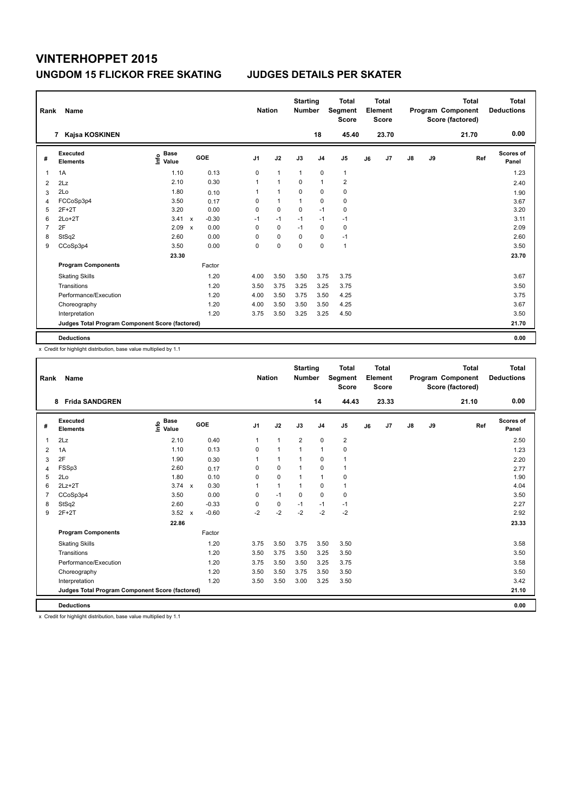| Rank | Name                                            |                                  |              |         | <b>Nation</b> |              | <b>Starting</b><br><b>Number</b> |                | <b>Total</b><br>Segment<br><b>Score</b> |    | Total<br>Element<br><b>Score</b> |               |    | <b>Total</b><br>Program Component<br>Score (factored) | <b>Total</b><br><b>Deductions</b> |
|------|-------------------------------------------------|----------------------------------|--------------|---------|---------------|--------------|----------------------------------|----------------|-----------------------------------------|----|----------------------------------|---------------|----|-------------------------------------------------------|-----------------------------------|
|      | Kajsa KOSKINEN<br>7                             |                                  |              |         |               |              |                                  | 18             | 45.40                                   |    | 23.70                            |               |    | 21.70                                                 | 0.00                              |
| #    | Executed<br><b>Elements</b>                     | <b>Base</b><br>e Base<br>⊆ Value |              | GOE     | J1            | J2           | J3                               | J <sub>4</sub> | J <sub>5</sub>                          | J6 | J7                               | $\mathsf{J}8$ | J9 | Ref                                                   | <b>Scores of</b><br>Panel         |
| 1    | 1A                                              | 1.10                             |              | 0.13    | 0             | $\mathbf{1}$ | $\mathbf{1}$                     | $\mathbf 0$    | $\mathbf{1}$                            |    |                                  |               |    |                                                       | 1.23                              |
| 2    | 2Lz                                             | 2.10                             |              | 0.30    | 1             | 1            | 0                                | $\overline{1}$ | 2                                       |    |                                  |               |    |                                                       | 2.40                              |
| 3    | 2Lo                                             | 1.80                             |              | 0.10    | 1             | $\mathbf{1}$ | $\Omega$                         | 0              | 0                                       |    |                                  |               |    |                                                       | 1.90                              |
| 4    | FCCoSp3p4                                       | 3.50                             |              | 0.17    | 0             | $\mathbf{1}$ | 1                                | $\mathbf 0$    | $\pmb{0}$                               |    |                                  |               |    |                                                       | 3.67                              |
| 5    | $2F+2T$                                         | 3.20                             |              | 0.00    | 0             | $\mathbf 0$  | $\mathbf 0$                      | $-1$           | $\pmb{0}$                               |    |                                  |               |    |                                                       | 3.20                              |
| 6    | $2Lo+2T$                                        | 3.41                             | $\mathsf{x}$ | $-0.30$ | $-1$          | $-1$         | $-1$                             | $-1$           | $-1$                                    |    |                                  |               |    |                                                       | 3.11                              |
| 7    | 2F                                              | 2.09                             | $\mathsf{x}$ | 0.00    | 0             | $\mathbf 0$  | $-1$                             | $\mathbf 0$    | $\pmb{0}$                               |    |                                  |               |    |                                                       | 2.09                              |
| 8    | StSq2                                           | 2.60                             |              | 0.00    | 0             | $\mathbf 0$  | 0                                | 0              | $-1$                                    |    |                                  |               |    |                                                       | 2.60                              |
| 9    | CCoSp3p4                                        | 3.50                             |              | 0.00    | 0             | $\mathbf 0$  | $\Omega$                         | $\Omega$       | $\overline{1}$                          |    |                                  |               |    |                                                       | 3.50                              |
|      |                                                 | 23.30                            |              |         |               |              |                                  |                |                                         |    |                                  |               |    |                                                       | 23.70                             |
|      | <b>Program Components</b>                       |                                  |              | Factor  |               |              |                                  |                |                                         |    |                                  |               |    |                                                       |                                   |
|      | <b>Skating Skills</b>                           |                                  |              | 1.20    | 4.00          | 3.50         | 3.50                             | 3.75           | 3.75                                    |    |                                  |               |    |                                                       | 3.67                              |
|      | Transitions                                     |                                  |              | 1.20    | 3.50          | 3.75         | 3.25                             | 3.25           | 3.75                                    |    |                                  |               |    |                                                       | 3.50                              |
|      | Performance/Execution                           |                                  |              | 1.20    | 4.00          | 3.50         | 3.75                             | 3.50           | 4.25                                    |    |                                  |               |    |                                                       | 3.75                              |
|      | Choreography                                    |                                  |              | 1.20    | 4.00          | 3.50         | 3.50                             | 3.50           | 4.25                                    |    |                                  |               |    |                                                       | 3.67                              |
|      | Interpretation                                  |                                  |              | 1.20    | 3.75          | 3.50         | 3.25                             | 3.25           | 4.50                                    |    |                                  |               |    |                                                       | 3.50                              |
|      | Judges Total Program Component Score (factored) |                                  |              |         |               |              |                                  |                |                                         |    |                                  |               |    |                                                       | 21.70                             |
|      | <b>Deductions</b>                               |                                  |              |         |               |              |                                  |                |                                         |    |                                  |               |    |                                                       | 0.00                              |

x Credit for highlight distribution, base value multiplied by 1.1

| Rank           | <b>Name</b>                                     |                                    |                           |         | <b>Nation</b>  |              | <b>Starting</b><br><b>Number</b> |                | <b>Total</b><br>Segment<br><b>Score</b> |    | Total<br>Element<br><b>Score</b> |            |    | <b>Total</b><br>Program Component<br>Score (factored) | <b>Total</b><br><b>Deductions</b> |
|----------------|-------------------------------------------------|------------------------------------|---------------------------|---------|----------------|--------------|----------------------------------|----------------|-----------------------------------------|----|----------------------------------|------------|----|-------------------------------------------------------|-----------------------------------|
|                | <b>Frida SANDGREN</b><br>8                      |                                    |                           |         |                |              |                                  | 14             | 44.43                                   |    | 23.33                            |            |    | 21.10                                                 | 0.00                              |
| #              | Executed<br><b>Elements</b>                     | <b>Base</b><br>$\frac{6}{5}$ Value | GOE                       |         | J <sub>1</sub> | J2           | J3                               | J <sub>4</sub> | J <sub>5</sub>                          | J6 | J7                               | ${\sf J8}$ | J9 | Ref                                                   | <b>Scores of</b><br>Panel         |
| $\overline{1}$ | 2Lz                                             | 2.10                               |                           | 0.40    | $\mathbf{1}$   | $\mathbf{1}$ | $\overline{2}$                   | $\mathbf 0$    | $\overline{2}$                          |    |                                  |            |    |                                                       | 2.50                              |
| 2              | 1A                                              | 1.10                               |                           | 0.13    | 0              | $\mathbf{1}$ | $\mathbf{1}$                     | $\mathbf{1}$   | 0                                       |    |                                  |            |    |                                                       | 1.23                              |
| 3              | 2F                                              | 1.90                               |                           | 0.30    | 1              | $\mathbf{1}$ | $\mathbf{1}$                     | $\mathbf 0$    | 1                                       |    |                                  |            |    |                                                       | 2.20                              |
| 4              | FSSp3                                           | 2.60                               |                           | 0.17    | 0              | $\mathbf 0$  | $\mathbf{1}$                     | $\mathbf 0$    | $\mathbf{1}$                            |    |                                  |            |    |                                                       | 2.77                              |
| 5              | 2Lo                                             | 1.80                               |                           | 0.10    | 0              | $\mathbf 0$  | $\mathbf{1}$                     | $\mathbf{1}$   | 0                                       |    |                                  |            |    |                                                       | 1.90                              |
| 6              | $2Lz+2T$                                        | $3.74 \times$                      |                           | 0.30    | 1              | $\mathbf{1}$ | $\mathbf{1}$                     | $\mathbf 0$    | 1                                       |    |                                  |            |    |                                                       | 4.04                              |
| $\overline{7}$ | CCoSp3p4                                        | 3.50                               |                           | 0.00    | 0              | $-1$         | $\mathbf 0$                      | $\mathbf 0$    | $\mathbf 0$                             |    |                                  |            |    |                                                       | 3.50                              |
| 8              | StSq2                                           | 2.60                               |                           | $-0.33$ | 0              | $\pmb{0}$    | $-1$                             | $-1$           | $-1$                                    |    |                                  |            |    |                                                       | 2.27                              |
| 9              | $2F+2T$                                         | 3.52                               | $\boldsymbol{\mathsf{x}}$ | $-0.60$ | $-2$           | $-2$         | $-2$                             | $-2$           | $-2$                                    |    |                                  |            |    |                                                       | 2.92                              |
|                |                                                 | 22.86                              |                           |         |                |              |                                  |                |                                         |    |                                  |            |    |                                                       | 23.33                             |
|                | <b>Program Components</b>                       |                                    |                           | Factor  |                |              |                                  |                |                                         |    |                                  |            |    |                                                       |                                   |
|                | <b>Skating Skills</b>                           |                                    |                           | 1.20    | 3.75           | 3.50         | 3.75                             | 3.50           | 3.50                                    |    |                                  |            |    |                                                       | 3.58                              |
|                | Transitions                                     |                                    |                           | 1.20    | 3.50           | 3.75         | 3.50                             | 3.25           | 3.50                                    |    |                                  |            |    |                                                       | 3.50                              |
|                | Performance/Execution                           |                                    |                           | 1.20    | 3.75           | 3.50         | 3.50                             | 3.25           | 3.75                                    |    |                                  |            |    |                                                       | 3.58                              |
|                | Choreography                                    |                                    |                           | 1.20    | 3.50           | 3.50         | 3.75                             | 3.50           | 3.50                                    |    |                                  |            |    |                                                       | 3.50                              |
|                | Interpretation                                  |                                    |                           | 1.20    | 3.50           | 3.50         | 3.00                             | 3.25           | 3.50                                    |    |                                  |            |    |                                                       | 3.42                              |
|                | Judges Total Program Component Score (factored) |                                    |                           |         |                |              |                                  |                |                                         |    |                                  |            |    |                                                       | 21.10                             |
|                | <b>Deductions</b>                               |                                    |                           |         |                |              |                                  |                |                                         |    |                                  |            |    |                                                       | 0.00                              |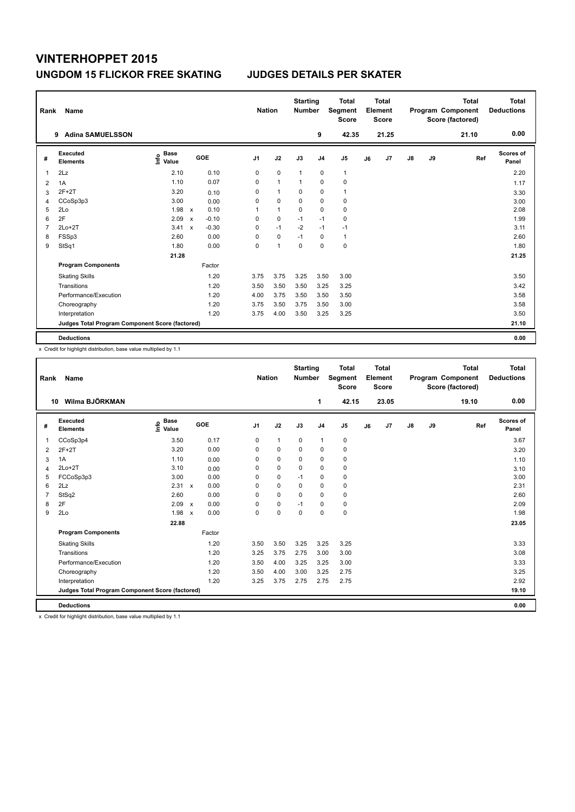| Rank           | Name                                            |                                  |                           |         |                | <b>Nation</b> | <b>Starting</b><br><b>Number</b> |                | <b>Total</b><br>Segment<br><b>Score</b> |    | <b>Total</b><br>Element<br><b>Score</b> |               |    | <b>Total</b><br>Program Component<br>Score (factored) | <b>Total</b><br><b>Deductions</b> |
|----------------|-------------------------------------------------|----------------------------------|---------------------------|---------|----------------|---------------|----------------------------------|----------------|-----------------------------------------|----|-----------------------------------------|---------------|----|-------------------------------------------------------|-----------------------------------|
|                | <b>Adina SAMUELSSON</b><br>9                    |                                  |                           |         |                |               |                                  | 9              | 42.35                                   |    | 21.25                                   |               |    | 21.10                                                 | 0.00                              |
| #              | Executed<br><b>Elements</b>                     | <b>Base</b><br>e Base<br>⊆ Value |                           | GOE     | J <sub>1</sub> | J2            | J3                               | J <sub>4</sub> | J5                                      | J6 | J7                                      | $\mathsf{J}8$ | J9 | Ref                                                   | Scores of<br>Panel                |
| 1              | 2Lz                                             | 2.10                             |                           | 0.10    | 0              | $\mathbf 0$   | $\overline{1}$                   | 0              | $\mathbf{1}$                            |    |                                         |               |    |                                                       | 2.20                              |
| 2              | 1A                                              | 1.10                             |                           | 0.07    | 0              | $\mathbf{1}$  | -1                               | $\mathbf 0$    | $\pmb{0}$                               |    |                                         |               |    |                                                       | 1.17                              |
| 3              | $2F+2T$                                         | 3.20                             |                           | 0.10    | 0              | $\mathbf{1}$  | 0                                | $\mathbf 0$    | $\mathbf{1}$                            |    |                                         |               |    |                                                       | 3.30                              |
| 4              | CCoSp3p3                                        | 3.00                             |                           | 0.00    | 0              | $\mathbf 0$   | $\mathbf 0$                      | $\mathbf 0$    | $\pmb{0}$                               |    |                                         |               |    |                                                       | 3.00                              |
| 5              | 2Lo                                             | 1.98                             | $\mathsf{x}$              | 0.10    | 1              | $\mathbf{1}$  | 0                                | 0              | $\pmb{0}$                               |    |                                         |               |    |                                                       | 2.08                              |
| 6              | 2F                                              | 2.09                             | $\mathsf{x}$              | $-0.10$ | 0              | $\mathbf 0$   | $-1$                             | $-1$           | $\pmb{0}$                               |    |                                         |               |    |                                                       | 1.99                              |
| $\overline{7}$ | $2Lo+2T$                                        | 3.41                             | $\boldsymbol{\mathsf{x}}$ | $-0.30$ | 0              | $-1$          | $-2$                             | $-1$           | $-1$                                    |    |                                         |               |    |                                                       | 3.11                              |
| 8              | FSSp3                                           | 2.60                             |                           | 0.00    | 0              | $\mathbf 0$   | $-1$                             | 0              | $\mathbf{1}$                            |    |                                         |               |    |                                                       | 2.60                              |
| 9              | StSq1                                           | 1.80                             |                           | 0.00    | 0              | 1             | $\mathbf 0$                      | $\mathbf 0$    | $\mathbf 0$                             |    |                                         |               |    |                                                       | 1.80                              |
|                |                                                 | 21.28                            |                           |         |                |               |                                  |                |                                         |    |                                         |               |    |                                                       | 21.25                             |
|                | <b>Program Components</b>                       |                                  |                           | Factor  |                |               |                                  |                |                                         |    |                                         |               |    |                                                       |                                   |
|                | <b>Skating Skills</b>                           |                                  |                           | 1.20    | 3.75           | 3.75          | 3.25                             | 3.50           | 3.00                                    |    |                                         |               |    |                                                       | 3.50                              |
|                | Transitions                                     |                                  |                           | 1.20    | 3.50           | 3.50          | 3.50                             | 3.25           | 3.25                                    |    |                                         |               |    |                                                       | 3.42                              |
|                | Performance/Execution                           |                                  |                           | 1.20    | 4.00           | 3.75          | 3.50                             | 3.50           | 3.50                                    |    |                                         |               |    |                                                       | 3.58                              |
|                | Choreography                                    |                                  |                           | 1.20    | 3.75           | 3.50          | 3.75                             | 3.50           | 3.00                                    |    |                                         |               |    |                                                       | 3.58                              |
|                | Interpretation                                  |                                  |                           | 1.20    | 3.75           | 4.00          | 3.50                             | 3.25           | 3.25                                    |    |                                         |               |    |                                                       | 3.50                              |
|                | Judges Total Program Component Score (factored) |                                  |                           |         |                |               |                                  |                |                                         |    |                                         |               |    |                                                       | 21.10                             |
|                | <b>Deductions</b>                               |                                  |                           |         |                |               |                                  |                |                                         |    |                                         |               |    |                                                       | 0.00                              |

x Credit for highlight distribution, base value multiplied by 1.1

| Rank           | Name                                            |                                  |                           |        |                | <b>Nation</b> | <b>Starting</b><br><b>Number</b> |                | <b>Total</b><br>Segment<br><b>Score</b> |    | <b>Total</b><br>Element<br><b>Score</b> |               |    | <b>Total</b><br>Program Component<br>Score (factored) | <b>Total</b><br><b>Deductions</b> |
|----------------|-------------------------------------------------|----------------------------------|---------------------------|--------|----------------|---------------|----------------------------------|----------------|-----------------------------------------|----|-----------------------------------------|---------------|----|-------------------------------------------------------|-----------------------------------|
|                | Wilma BJÖRKMAN<br>10                            |                                  |                           |        |                |               |                                  | 1              | 42.15                                   |    | 23.05                                   |               |    | 19.10                                                 | 0.00                              |
| #              | Executed<br><b>Elements</b>                     | <b>Base</b><br>e Base<br>⊆ Value | GOE                       |        | J <sub>1</sub> | J2            | J3                               | J <sub>4</sub> | J <sub>5</sub>                          | J6 | J <sub>7</sub>                          | $\mathsf{J}8$ | J9 | Ref                                                   | <b>Scores of</b><br>Panel         |
| 1              | CCoSp3p4                                        | 3.50                             |                           | 0.17   | 0              | $\mathbf{1}$  | $\mathbf 0$                      | $\mathbf{1}$   | 0                                       |    |                                         |               |    |                                                       | 3.67                              |
| 2              | $2F+2T$                                         | 3.20                             |                           | 0.00   | $\Omega$       | $\mathbf 0$   | 0                                | $\mathbf 0$    | 0                                       |    |                                         |               |    |                                                       | 3.20                              |
| 3              | 1A                                              | 1.10                             |                           | 0.00   | 0              | 0             | 0                                | 0              | 0                                       |    |                                         |               |    |                                                       | 1.10                              |
| 4              | $2Lo+2T$                                        | 3.10                             |                           | 0.00   | 0              | $\mathbf 0$   | $\Omega$                         | 0              | $\mathbf 0$                             |    |                                         |               |    |                                                       | 3.10                              |
| 5              | FCCoSp3p3                                       | 3.00                             |                           | 0.00   | $\Omega$       | $\mathbf 0$   | $-1$                             | 0              | 0                                       |    |                                         |               |    |                                                       | 3.00                              |
| 6              | 2Lz                                             | 2.31                             | $\mathbf{x}$              | 0.00   | $\Omega$       | $\mathbf 0$   | $\Omega$                         | 0              | $\pmb{0}$                               |    |                                         |               |    |                                                       | 2.31                              |
| $\overline{7}$ | StSq2                                           | 2.60                             |                           | 0.00   | 0              | $\mathbf 0$   | $\mathbf 0$                      | 0              | $\mathbf 0$                             |    |                                         |               |    |                                                       | 2.60                              |
| 8              | 2F                                              | 2.09                             | $\boldsymbol{\mathsf{x}}$ | 0.00   | 0              | $\mathbf 0$   | $-1$                             | 0              | 0                                       |    |                                         |               |    |                                                       | 2.09                              |
| 9              | 2Lo                                             | 1.98                             | $\boldsymbol{\mathsf{x}}$ | 0.00   | $\Omega$       | $\mathbf 0$   | $\Omega$                         | $\Omega$       | $\mathbf 0$                             |    |                                         |               |    |                                                       | 1.98                              |
|                |                                                 | 22.88                            |                           |        |                |               |                                  |                |                                         |    |                                         |               |    |                                                       | 23.05                             |
|                | <b>Program Components</b>                       |                                  |                           | Factor |                |               |                                  |                |                                         |    |                                         |               |    |                                                       |                                   |
|                | <b>Skating Skills</b>                           |                                  |                           | 1.20   | 3.50           | 3.50          | 3.25                             | 3.25           | 3.25                                    |    |                                         |               |    |                                                       | 3.33                              |
|                | Transitions                                     |                                  |                           | 1.20   | 3.25           | 3.75          | 2.75                             | 3.00           | 3.00                                    |    |                                         |               |    |                                                       | 3.08                              |
|                | Performance/Execution                           |                                  |                           | 1.20   | 3.50           | 4.00          | 3.25                             | 3.25           | 3.00                                    |    |                                         |               |    |                                                       | 3.33                              |
|                | Choreography                                    |                                  |                           | 1.20   | 3.50           | 4.00          | 3.00                             | 3.25           | 2.75                                    |    |                                         |               |    |                                                       | 3.25                              |
|                | Interpretation                                  |                                  |                           | 1.20   | 3.25           | 3.75          | 2.75                             | 2.75           | 2.75                                    |    |                                         |               |    |                                                       | 2.92                              |
|                | Judges Total Program Component Score (factored) |                                  |                           |        |                |               |                                  |                |                                         |    |                                         |               |    |                                                       | 19.10                             |
|                | <b>Deductions</b>                               |                                  |                           |        |                |               |                                  |                |                                         |    |                                         |               |    |                                                       | 0.00                              |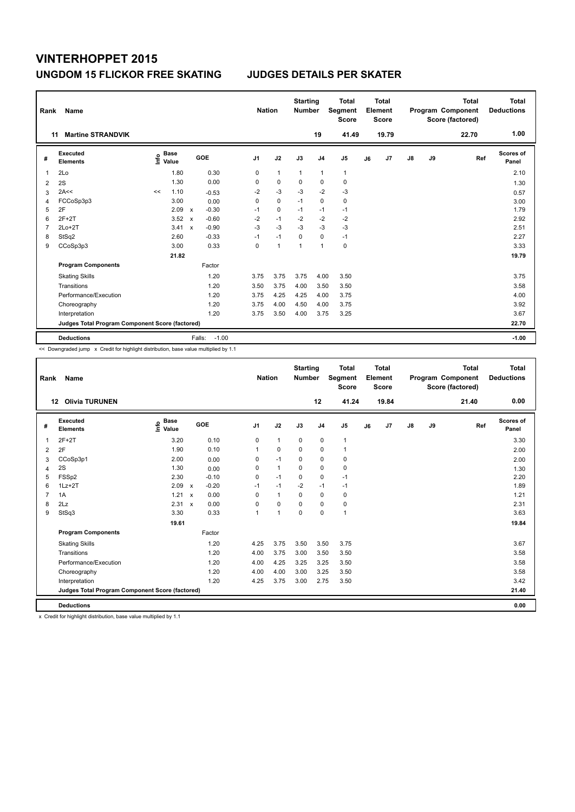| Rank | Name                                            |                                  |                                      | <b>Nation</b>  |                      | <b>Starting</b><br><b>Number</b> |                | <b>Total</b><br>Segment<br><b>Score</b> |    | <b>Total</b><br>Element<br>Score |    |    | <b>Total</b><br>Program Component<br>Score (factored) | Total<br><b>Deductions</b> |
|------|-------------------------------------------------|----------------------------------|--------------------------------------|----------------|----------------------|----------------------------------|----------------|-----------------------------------------|----|----------------------------------|----|----|-------------------------------------------------------|----------------------------|
| 11   | <b>Martine STRANDVIK</b>                        |                                  |                                      |                |                      |                                  | 19             | 41.49                                   |    | 19.79                            |    |    | 22.70                                                 | 1.00                       |
| #    | <b>Executed</b><br><b>Elements</b>              | <b>Base</b><br>e Base<br>⊆ Value | GOE                                  | J <sub>1</sub> | J2                   | J3                               | J <sub>4</sub> | J <sub>5</sub>                          | J6 | J7                               | J8 | J9 | Ref                                                   | <b>Scores of</b><br>Panel  |
| 1    | 2Lo                                             | 1.80                             | 0.30                                 | 0              | $\mathbf{1}$         | $\mathbf{1}$                     | $\mathbf{1}$   | $\mathbf{1}$                            |    |                                  |    |    |                                                       | 2.10                       |
| 2    | 2S                                              | 1.30                             | 0.00                                 | 0              | $\Omega$             | $\Omega$                         | $\Omega$       | $\mathbf 0$                             |    |                                  |    |    |                                                       | 1.30                       |
| 3    | 2A<<                                            | 1.10<br><<                       | $-0.53$                              | $-2$           | $-3$                 | $-3$                             | -2             | -3                                      |    |                                  |    |    |                                                       | 0.57                       |
| 4    | FCCoSp3p3                                       | 3.00                             | 0.00                                 | 0              | $\mathbf 0$          | $-1$                             | $\mathbf 0$    | $\mathbf 0$                             |    |                                  |    |    |                                                       | 3.00                       |
| 5    | 2F                                              | 2.09                             | $-0.30$<br>X                         | $-1$           | $\mathbf 0$          | $-1$                             | $-1$           | $-1$                                    |    |                                  |    |    |                                                       | 1.79                       |
| 6    | $2F+2T$                                         | 3.52                             | $-0.60$<br>$\boldsymbol{\mathsf{x}}$ | $-2$           | $-1$                 | $-2$                             | $-2$           | $-2$                                    |    |                                  |    |    |                                                       | 2.92                       |
| 7    | $2Lo+2T$                                        | 3.41                             | $-0.90$<br>$\boldsymbol{\mathsf{x}}$ | $-3$           | $-3$                 | $-3$                             | $-3$           | $-3$                                    |    |                                  |    |    |                                                       | 2.51                       |
| 8    | StSq2                                           | 2.60                             | $-0.33$                              | $-1$           | $-1$                 | $\Omega$                         | $\Omega$       | $-1$                                    |    |                                  |    |    |                                                       | 2.27                       |
| 9    | CCoSp3p3                                        | 3.00                             | 0.33                                 | 0              | $\blacktriangleleft$ | 1                                | $\overline{1}$ | $\pmb{0}$                               |    |                                  |    |    |                                                       | 3.33                       |
|      |                                                 | 21.82                            |                                      |                |                      |                                  |                |                                         |    |                                  |    |    |                                                       | 19.79                      |
|      | <b>Program Components</b>                       |                                  | Factor                               |                |                      |                                  |                |                                         |    |                                  |    |    |                                                       |                            |
|      | <b>Skating Skills</b>                           |                                  | 1.20                                 | 3.75           | 3.75                 | 3.75                             | 4.00           | 3.50                                    |    |                                  |    |    |                                                       | 3.75                       |
|      | Transitions                                     |                                  | 1.20                                 | 3.50           | 3.75                 | 4.00                             | 3.50           | 3.50                                    |    |                                  |    |    |                                                       | 3.58                       |
|      | Performance/Execution                           |                                  | 1.20                                 | 3.75           | 4.25                 | 4.25                             | 4.00           | 3.75                                    |    |                                  |    |    |                                                       | 4.00                       |
|      | Choreography                                    |                                  | 1.20                                 | 3.75           | 4.00                 | 4.50                             | 4.00           | 3.75                                    |    |                                  |    |    |                                                       | 3.92                       |
|      | Interpretation                                  |                                  | 1.20                                 | 3.75           | 3.50                 | 4.00                             | 3.75           | 3.25                                    |    |                                  |    |    |                                                       | 3.67                       |
|      | Judges Total Program Component Score (factored) |                                  |                                      |                |                      |                                  |                |                                         |    |                                  |    |    |                                                       | 22.70                      |
|      | <b>Deductions</b>                               |                                  | Falls:                               | $-1.00$        |                      |                                  |                |                                         |    |                                  |    |    |                                                       | $-1.00$                    |

<< Downgraded jump x Credit for highlight distribution, base value multiplied by 1.1

| Rank                    | <b>Name</b>                                     |                                    |                           |         | <b>Nation</b>  |                      | <b>Starting</b><br><b>Number</b> |                | <b>Total</b><br>Segment<br><b>Score</b> |    | <b>Total</b><br>Element<br><b>Score</b> |               |    | <b>Total</b><br>Program Component<br>Score (factored) | <b>Total</b><br><b>Deductions</b> |
|-------------------------|-------------------------------------------------|------------------------------------|---------------------------|---------|----------------|----------------------|----------------------------------|----------------|-----------------------------------------|----|-----------------------------------------|---------------|----|-------------------------------------------------------|-----------------------------------|
|                         | <b>Olivia TURUNEN</b><br>12                     |                                    |                           |         |                |                      |                                  | 12             | 41.24                                   |    | 19.84                                   |               |    | 21.40                                                 | 0.00                              |
| #                       | Executed<br><b>Elements</b>                     | <b>Base</b><br>$\frac{6}{5}$ Value | GOE                       |         | J <sub>1</sub> | J2                   | J3                               | J <sub>4</sub> | J <sub>5</sub>                          | J6 | J7                                      | $\mathsf{J}8$ | J9 | Ref                                                   | <b>Scores of</b><br>Panel         |
| $\mathbf 1$             | $2F+2T$                                         | 3.20                               |                           | 0.10    | $\mathbf 0$    | $\mathbf{1}$         | $\mathbf 0$                      | $\mathbf 0$    | $\mathbf{1}$                            |    |                                         |               |    |                                                       | 3.30                              |
| $\overline{\mathbf{c}}$ | 2F                                              | 1.90                               |                           | 0.10    | 1              | $\mathbf 0$          | $\mathbf 0$                      | $\mathbf 0$    | 1                                       |    |                                         |               |    |                                                       | 2.00                              |
| 3                       | CCoSp3p1                                        | 2.00                               |                           | 0.00    | 0              | $-1$                 | 0                                | $\mathbf 0$    | 0                                       |    |                                         |               |    |                                                       | 2.00                              |
| $\overline{4}$          | 2S                                              | 1.30                               |                           | 0.00    | 0              | $\mathbf{1}$         | $\mathbf 0$                      | $\mathbf 0$    | $\mathbf 0$                             |    |                                         |               |    |                                                       | 1.30                              |
| 5                       | FSSp2                                           | 2.30                               |                           | $-0.10$ | $\Omega$       | $-1$                 | $\Omega$                         | $\mathbf 0$    | $-1$                                    |    |                                         |               |    |                                                       | 2.20                              |
| 6                       | $1Lz + 2T$                                      | 2.09                               | $\boldsymbol{\mathsf{x}}$ | $-0.20$ | $-1$           | $-1$                 | $-2$                             | $-1$           | $-1$                                    |    |                                         |               |    |                                                       | 1.89                              |
| $\overline{7}$          | 1A                                              | 1.21                               | $\boldsymbol{\mathsf{x}}$ | 0.00    | $\Omega$       | $\mathbf{1}$         | $\mathbf 0$                      | $\pmb{0}$      | 0                                       |    |                                         |               |    |                                                       | 1.21                              |
| 8                       | 2Lz                                             | 2.31                               | $\boldsymbol{\mathsf{x}}$ | 0.00    | $\Omega$       | $\Omega$             | $\Omega$                         | $\mathbf 0$    | 0                                       |    |                                         |               |    |                                                       | 2.31                              |
| 9                       | StSq3                                           | 3.30                               |                           | 0.33    | $\overline{1}$ | $\blacktriangleleft$ | $\Omega$                         | $\mathbf 0$    | $\mathbf{1}$                            |    |                                         |               |    |                                                       | 3.63                              |
|                         |                                                 | 19.61                              |                           |         |                |                      |                                  |                |                                         |    |                                         |               |    |                                                       | 19.84                             |
|                         | <b>Program Components</b>                       |                                    |                           | Factor  |                |                      |                                  |                |                                         |    |                                         |               |    |                                                       |                                   |
|                         | <b>Skating Skills</b>                           |                                    |                           | 1.20    | 4.25           | 3.75                 | 3.50                             | 3.50           | 3.75                                    |    |                                         |               |    |                                                       | 3.67                              |
|                         | Transitions                                     |                                    |                           | 1.20    | 4.00           | 3.75                 | 3.00                             | 3.50           | 3.50                                    |    |                                         |               |    |                                                       | 3.58                              |
|                         | Performance/Execution                           |                                    |                           | 1.20    | 4.00           | 4.25                 | 3.25                             | 3.25           | 3.50                                    |    |                                         |               |    |                                                       | 3.58                              |
|                         | Choreography                                    |                                    |                           | 1.20    | 4.00           | 4.00                 | 3.00                             | 3.25           | 3.50                                    |    |                                         |               |    |                                                       | 3.58                              |
|                         | Interpretation                                  |                                    |                           | 1.20    | 4.25           | 3.75                 | 3.00                             | 2.75           | 3.50                                    |    |                                         |               |    |                                                       | 3.42                              |
|                         | Judges Total Program Component Score (factored) |                                    |                           |         |                |                      |                                  |                |                                         |    |                                         |               |    |                                                       | 21.40                             |
|                         | <b>Deductions</b>                               |                                    |                           |         |                |                      |                                  |                |                                         |    |                                         |               |    |                                                       | 0.00                              |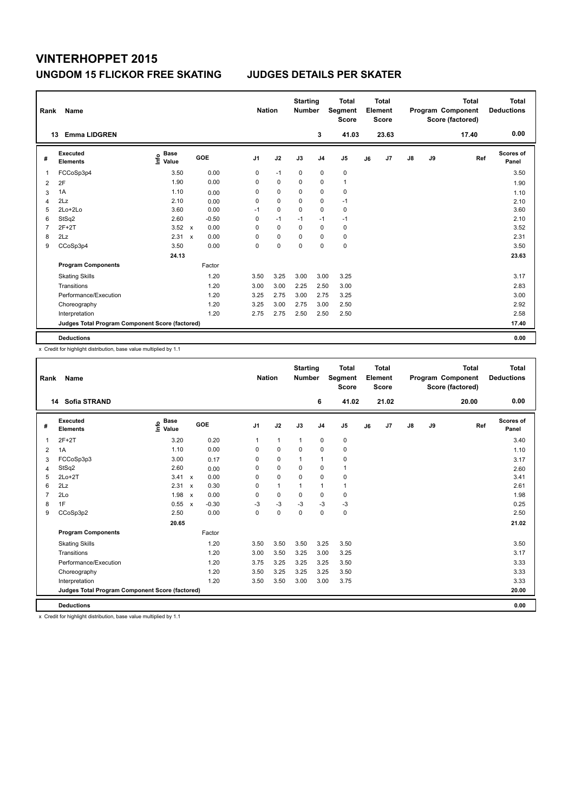| Rank           | Name                                            |                                  |                           |         |                | <b>Nation</b> |             | <b>Starting</b><br><b>Number</b> |                | <b>Total</b><br>Segment<br><b>Score</b> |    | <b>Total</b><br>Element<br><b>Score</b> |               |    | <b>Total</b><br>Program Component<br>Score (factored) | <b>Total</b><br><b>Deductions</b> |
|----------------|-------------------------------------------------|----------------------------------|---------------------------|---------|----------------|---------------|-------------|----------------------------------|----------------|-----------------------------------------|----|-----------------------------------------|---------------|----|-------------------------------------------------------|-----------------------------------|
|                | <b>Emma LIDGREN</b><br>13                       |                                  |                           |         |                |               |             |                                  | 3              | 41.03                                   |    | 23.63                                   |               |    | 17.40                                                 | 0.00                              |
| #              | Executed<br><b>Elements</b>                     | <b>Base</b><br>e Base<br>⊆ Value |                           | GOE     | J <sub>1</sub> |               | J2          | J3                               | J <sub>4</sub> | J <sub>5</sub>                          | J6 | J7                                      | $\mathsf{J}8$ | J9 | Ref                                                   | Scores of<br>Panel                |
| 1              | FCCoSp3p4                                       | 3.50                             |                           | 0.00    | 0              |               | $-1$        | 0                                | $\mathbf 0$    | 0                                       |    |                                         |               |    |                                                       | 3.50                              |
| 2              | 2F                                              | 1.90                             |                           | 0.00    | 0              |               | $\mathbf 0$ | $\Omega$                         | $\mathbf 0$    | $\mathbf{1}$                            |    |                                         |               |    |                                                       | 1.90                              |
| 3              | 1A                                              | 1.10                             |                           | 0.00    | 0              |               | $\mathbf 0$ | 0                                | 0              | 0                                       |    |                                         |               |    |                                                       | 1.10                              |
| $\overline{4}$ | 2Lz                                             | 2.10                             |                           | 0.00    | 0              |               | $\mathbf 0$ | $\mathbf 0$                      | $\mathbf 0$    | $-1$                                    |    |                                         |               |    |                                                       | 2.10                              |
| 5              | 2Lo+2Lo                                         | 3.60                             |                           | 0.00    | $-1$           |               | $\pmb{0}$   | $\Omega$                         | 0              | 0                                       |    |                                         |               |    |                                                       | 3.60                              |
| 6              | StSq2                                           | 2.60                             |                           | $-0.50$ | 0              |               | $-1$        | $-1$                             | $-1$           | $-1$                                    |    |                                         |               |    |                                                       | 2.10                              |
| $\overline{7}$ | $2F+2T$                                         | 3.52                             | $\mathsf{x}$              | 0.00    | 0              |               | $\mathbf 0$ | 0                                | $\mathbf 0$    | 0                                       |    |                                         |               |    |                                                       | 3.52                              |
| 8              | 2Lz                                             | 2.31                             | $\boldsymbol{\mathsf{x}}$ | 0.00    | 0              |               | $\mathbf 0$ | $\Omega$                         | 0              | 0                                       |    |                                         |               |    |                                                       | 2.31                              |
| 9              | CCoSp3p4                                        | 3.50                             |                           | 0.00    | 0              |               | 0           | 0                                | 0              | $\mathbf 0$                             |    |                                         |               |    |                                                       | 3.50                              |
|                |                                                 | 24.13                            |                           |         |                |               |             |                                  |                |                                         |    |                                         |               |    |                                                       | 23.63                             |
|                | <b>Program Components</b>                       |                                  |                           | Factor  |                |               |             |                                  |                |                                         |    |                                         |               |    |                                                       |                                   |
|                | <b>Skating Skills</b>                           |                                  |                           | 1.20    | 3.50           |               | 3.25        | 3.00                             | 3.00           | 3.25                                    |    |                                         |               |    |                                                       | 3.17                              |
|                | Transitions                                     |                                  |                           | 1.20    | 3.00           |               | 3.00        | 2.25                             | 2.50           | 3.00                                    |    |                                         |               |    |                                                       | 2.83                              |
|                | Performance/Execution                           |                                  |                           | 1.20    | 3.25           |               | 2.75        | 3.00                             | 2.75           | 3.25                                    |    |                                         |               |    |                                                       | 3.00                              |
|                | Choreography                                    |                                  |                           | 1.20    | 3.25           |               | 3.00        | 2.75                             | 3.00           | 2.50                                    |    |                                         |               |    |                                                       | 2.92                              |
|                | Interpretation                                  |                                  |                           | 1.20    | 2.75           |               | 2.75        | 2.50                             | 2.50           | 2.50                                    |    |                                         |               |    |                                                       | 2.58                              |
|                | Judges Total Program Component Score (factored) |                                  |                           |         |                |               |             |                                  |                |                                         |    |                                         |               |    |                                                       | 17.40                             |
|                | <b>Deductions</b>                               |                                  |                           |         |                |               |             |                                  |                |                                         |    |                                         |               |    |                                                       | 0.00                              |

x Credit for highlight distribution, base value multiplied by 1.1

| Rank           | Name                                            |                                  |                                      | <b>Nation</b>  |              | <b>Starting</b><br><b>Number</b> |                | <b>Total</b><br>Segment<br><b>Score</b> |    | <b>Total</b><br>Element<br><b>Score</b> |               |    | <b>Total</b><br>Program Component<br>Score (factored) | <b>Total</b><br><b>Deductions</b> |
|----------------|-------------------------------------------------|----------------------------------|--------------------------------------|----------------|--------------|----------------------------------|----------------|-----------------------------------------|----|-----------------------------------------|---------------|----|-------------------------------------------------------|-----------------------------------|
|                | <b>Sofia STRAND</b><br>14                       |                                  |                                      |                |              |                                  | 6              | 41.02                                   |    | 21.02                                   |               |    | 20.00                                                 | 0.00                              |
| #              | Executed<br><b>Elements</b>                     | <b>Base</b><br>e Base<br>⊆ Value | GOE                                  | J <sub>1</sub> | J2           | J3                               | J <sub>4</sub> | J <sub>5</sub>                          | J6 | J <sub>7</sub>                          | $\mathsf{J}8$ | J9 | Ref                                                   | <b>Scores of</b><br>Panel         |
| 1              | $2F+2T$                                         | 3.20                             | 0.20                                 | $\mathbf{1}$   | $\mathbf{1}$ | $\mathbf{1}$                     | $\mathbf 0$    | 0                                       |    |                                         |               |    |                                                       | 3.40                              |
| $\overline{2}$ | 1A                                              | 1.10                             | 0.00                                 | 0              | $\mathbf 0$  | $\mathbf 0$                      | $\mathbf 0$    | 0                                       |    |                                         |               |    |                                                       | 1.10                              |
| 3              | FCCoSp3p3                                       | 3.00                             | 0.17                                 | 0              | 0            | 1                                | $\mathbf{1}$   | 0                                       |    |                                         |               |    |                                                       | 3.17                              |
| 4              | StSq2                                           | 2.60                             | 0.00                                 | 0              | $\mathbf 0$  | $\Omega$                         | 0              | 1                                       |    |                                         |               |    |                                                       | 2.60                              |
| 5              | $2Lo+2T$                                        | 3.41                             | 0.00<br>$\mathsf{x}$                 | $\Omega$       | $\Omega$     | $\mathbf 0$                      | $\mathbf 0$    | $\mathbf 0$                             |    |                                         |               |    |                                                       | 3.41                              |
| 6              | 2Lz                                             | 2.31                             | 0.30<br>$\mathbf x$                  | $\Omega$       | $\mathbf{1}$ |                                  | $\mathbf{1}$   | 1                                       |    |                                         |               |    |                                                       | 2.61                              |
| $\overline{7}$ | 2Lo                                             | 1.98                             | 0.00<br>$\boldsymbol{\mathsf{x}}$    | 0              | $\mathbf 0$  | $\mathbf 0$                      | 0              | $\mathbf 0$                             |    |                                         |               |    |                                                       | 1.98                              |
| 8              | 1F                                              | 0.55                             | $-0.30$<br>$\boldsymbol{\mathsf{x}}$ | $-3$           | $-3$         | -3                               | $-3$           | $-3$                                    |    |                                         |               |    |                                                       | 0.25                              |
| 9              | CCoSp3p2                                        | 2.50                             | 0.00                                 | $\Omega$       | $\mathbf 0$  | $\Omega$                         | $\Omega$       | $\mathbf 0$                             |    |                                         |               |    |                                                       | 2.50                              |
|                |                                                 | 20.65                            |                                      |                |              |                                  |                |                                         |    |                                         |               |    |                                                       | 21.02                             |
|                | <b>Program Components</b>                       |                                  | Factor                               |                |              |                                  |                |                                         |    |                                         |               |    |                                                       |                                   |
|                | <b>Skating Skills</b>                           |                                  | 1.20                                 | 3.50           | 3.50         | 3.50                             | 3.25           | 3.50                                    |    |                                         |               |    |                                                       | 3.50                              |
|                | Transitions                                     |                                  | 1.20                                 | 3.00           | 3.50         | 3.25                             | 3.00           | 3.25                                    |    |                                         |               |    |                                                       | 3.17                              |
|                | Performance/Execution                           |                                  | 1.20                                 | 3.75           | 3.25         | 3.25                             | 3.25           | 3.50                                    |    |                                         |               |    |                                                       | 3.33                              |
|                | Choreography                                    |                                  | 1.20                                 | 3.50           | 3.25         | 3.25                             | 3.25           | 3.50                                    |    |                                         |               |    |                                                       | 3.33                              |
|                | Interpretation                                  |                                  | 1.20                                 | 3.50           | 3.50         | 3.00                             | 3.00           | 3.75                                    |    |                                         |               |    |                                                       | 3.33                              |
|                | Judges Total Program Component Score (factored) |                                  |                                      |                |              |                                  |                |                                         |    |                                         |               |    |                                                       | 20.00                             |
|                | <b>Deductions</b>                               |                                  |                                      |                |              |                                  |                |                                         |    |                                         |               |    |                                                       | 0.00                              |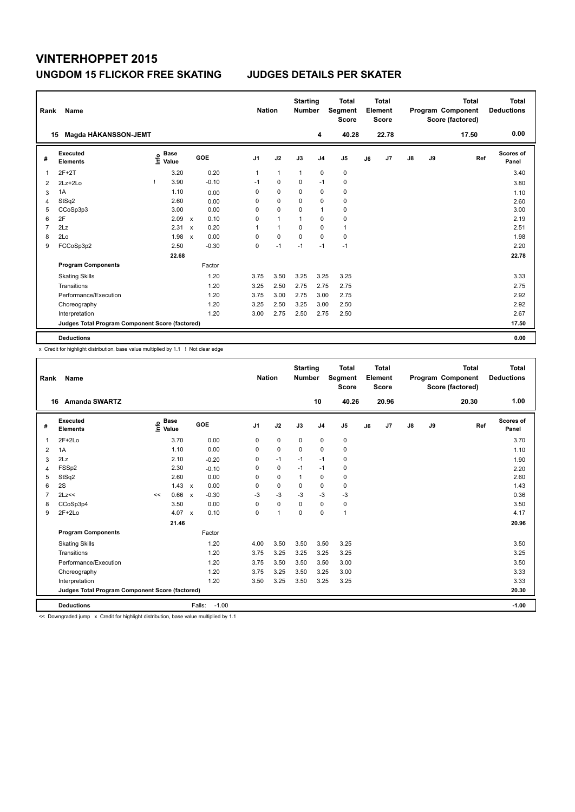| Rank | Name                                            |                                  |              |         | <b>Nation</b>  |              | <b>Starting</b><br><b>Number</b> |                | <b>Total</b><br>Segment<br><b>Score</b> |    | <b>Total</b><br>Element<br><b>Score</b> |               |    | <b>Total</b><br>Program Component<br>Score (factored) | <b>Total</b><br><b>Deductions</b> |
|------|-------------------------------------------------|----------------------------------|--------------|---------|----------------|--------------|----------------------------------|----------------|-----------------------------------------|----|-----------------------------------------|---------------|----|-------------------------------------------------------|-----------------------------------|
|      | Magda HÅKANSSON-JEMT<br>15                      |                                  |              |         |                |              |                                  | 4              | 40.28                                   |    | 22.78                                   |               |    | 17.50                                                 | 0.00                              |
| #    | <b>Executed</b><br><b>Elements</b>              | <b>Base</b><br>e Base<br>⊆ Value |              | GOE     | J <sub>1</sub> | J2           | J3                               | J <sub>4</sub> | J <sub>5</sub>                          | J6 | J7                                      | $\mathsf{J}8$ | J9 | Ref                                                   | Scores of<br>Panel                |
| 1    | $2F+2T$                                         | 3.20                             |              | 0.20    | $\mathbf{1}$   | $\mathbf{1}$ | $\mathbf{1}$                     | $\mathbf 0$    | $\pmb{0}$                               |    |                                         |               |    |                                                       | 3.40                              |
| 2    | $2Lz+2Lo$                                       | 3.90                             |              | $-0.10$ | $-1$           | $\Omega$     | $\Omega$                         | $-1$           | $\mathbf 0$                             |    |                                         |               |    |                                                       | 3.80                              |
| 3    | 1A                                              | 1.10                             |              | 0.00    | 0              | $\mathbf 0$  | $\mathbf 0$                      | $\mathbf 0$    | 0                                       |    |                                         |               |    |                                                       | 1.10                              |
| 4    | StSq2                                           | 2.60                             |              | 0.00    | 0              | $\mathbf 0$  | $\Omega$                         | 0              | 0                                       |    |                                         |               |    |                                                       | 2.60                              |
| 5    | CCoSp3p3                                        | 3.00                             |              | 0.00    | 0              | $\mathbf 0$  | $\Omega$                         | $\overline{1}$ | 0                                       |    |                                         |               |    |                                                       | 3.00                              |
| 6    | 2F                                              | 2.09                             | $\mathsf{x}$ | 0.10    | 0              | $\mathbf{1}$ | 1                                | 0              | $\pmb{0}$                               |    |                                         |               |    |                                                       | 2.19                              |
| 7    | 2Lz                                             | 2.31                             | $\mathsf{x}$ | 0.20    | 1              | $\mathbf{1}$ | 0                                | 0              | $\mathbf{1}$                            |    |                                         |               |    |                                                       | 2.51                              |
| 8    | 2Lo                                             | 1.98                             | $\mathsf{x}$ | 0.00    | 0              | $\mathbf 0$  | $\Omega$                         | $\Omega$       | $\pmb{0}$                               |    |                                         |               |    |                                                       | 1.98                              |
| 9    | FCCoSp3p2                                       | 2.50                             |              | $-0.30$ | 0              | $-1$         | $-1$                             | $-1$           | $-1$                                    |    |                                         |               |    |                                                       | 2.20                              |
|      |                                                 | 22.68                            |              |         |                |              |                                  |                |                                         |    |                                         |               |    |                                                       | 22.78                             |
|      | <b>Program Components</b>                       |                                  |              | Factor  |                |              |                                  |                |                                         |    |                                         |               |    |                                                       |                                   |
|      | <b>Skating Skills</b>                           |                                  |              | 1.20    | 3.75           | 3.50         | 3.25                             | 3.25           | 3.25                                    |    |                                         |               |    |                                                       | 3.33                              |
|      | Transitions                                     |                                  |              | 1.20    | 3.25           | 2.50         | 2.75                             | 2.75           | 2.75                                    |    |                                         |               |    |                                                       | 2.75                              |
|      | Performance/Execution                           |                                  |              | 1.20    | 3.75           | 3.00         | 2.75                             | 3.00           | 2.75                                    |    |                                         |               |    |                                                       | 2.92                              |
|      | Choreography                                    |                                  |              | 1.20    | 3.25           | 2.50         | 3.25                             | 3.00           | 2.50                                    |    |                                         |               |    |                                                       | 2.92                              |
|      | Interpretation                                  |                                  |              | 1.20    | 3.00           | 2.75         | 2.50                             | 2.75           | 2.50                                    |    |                                         |               |    |                                                       | 2.67                              |
|      | Judges Total Program Component Score (factored) |                                  |              |         |                |              |                                  |                |                                         |    |                                         |               |    |                                                       | 17.50                             |
|      | <b>Deductions</b>                               |                                  |              |         |                |              |                                  |                |                                         |    |                                         |               |    |                                                       | 0.00                              |

x Credit for highlight distribution, base value multiplied by 1.1 ! Not clear edge

| Rank           | Name                                            |                                  |       |                                   |                | <b>Nation</b>  | <b>Starting</b><br><b>Number</b> |                | <b>Total</b><br><b>Segment</b><br><b>Score</b> |    | Total<br>Element<br><b>Score</b> |               |    | <b>Total</b><br>Program Component<br>Score (factored) | Total<br><b>Deductions</b> |
|----------------|-------------------------------------------------|----------------------------------|-------|-----------------------------------|----------------|----------------|----------------------------------|----------------|------------------------------------------------|----|----------------------------------|---------------|----|-------------------------------------------------------|----------------------------|
|                | <b>Amanda SWARTZ</b><br>16                      |                                  |       |                                   |                |                |                                  | 10             | 40.26                                          |    | 20.96                            |               |    | 20.30                                                 | 1.00                       |
| #              | Executed<br><b>Elements</b>                     | <b>Base</b><br>e Base<br>⊆ Value |       | GOE                               | J <sub>1</sub> | J2             | J3                               | J <sub>4</sub> | J <sub>5</sub>                                 | J6 | J7                               | $\mathsf{J}8$ | J9 | Ref                                                   | Scores of<br>Panel         |
| 1              | $2F+2Lo$                                        |                                  | 3.70  | 0.00                              | 0              | $\mathbf 0$    | $\mathbf 0$                      | $\mathbf 0$    | 0                                              |    |                                  |               |    |                                                       | 3.70                       |
| $\overline{2}$ | 1A                                              |                                  | 1.10  | 0.00                              | 0              | $\mathbf 0$    | $\mathbf 0$                      | $\mathbf 0$    | $\mathbf 0$                                    |    |                                  |               |    |                                                       | 1.10                       |
| 3              | 2Lz                                             |                                  | 2.10  | $-0.20$                           | 0              | $-1$           | $-1$                             | $-1$           | $\mathbf 0$                                    |    |                                  |               |    |                                                       | 1.90                       |
| 4              | FSSp2                                           |                                  | 2.30  | $-0.10$                           | 0              | $\mathbf 0$    | $-1$                             | $-1$           | 0                                              |    |                                  |               |    |                                                       | 2.20                       |
| 5              | StSq2                                           |                                  | 2.60  | 0.00                              | 0              | $\mathbf 0$    | $\mathbf{1}$                     | $\mathbf 0$    | 0                                              |    |                                  |               |    |                                                       | 2.60                       |
| 6              | 2S                                              |                                  | 1.43  | 0.00<br>$\mathbf{x}$              | 0              | $\mathbf 0$    | $\Omega$                         | $\mathbf 0$    | $\mathbf 0$                                    |    |                                  |               |    |                                                       | 1.43                       |
| $\overline{7}$ | 2Lz<<                                           | <<                               | 0.66  | $-0.30$<br>$\mathbf{x}$           | $-3$           | $-3$           | $-3$                             | $-3$           | $-3$                                           |    |                                  |               |    |                                                       | 0.36                       |
| 8              | CCoSp3p4                                        |                                  | 3.50  | 0.00                              | 0              | $\mathbf 0$    | 0                                | $\mathbf 0$    | 0                                              |    |                                  |               |    |                                                       | 3.50                       |
| 9              | $2F+2Lo$                                        |                                  | 4.07  | 0.10<br>$\boldsymbol{\mathsf{x}}$ | 0              | $\overline{1}$ | 0                                | 0              | $\mathbf{1}$                                   |    |                                  |               |    |                                                       | 4.17                       |
|                |                                                 |                                  | 21.46 |                                   |                |                |                                  |                |                                                |    |                                  |               |    |                                                       | 20.96                      |
|                | <b>Program Components</b>                       |                                  |       | Factor                            |                |                |                                  |                |                                                |    |                                  |               |    |                                                       |                            |
|                | <b>Skating Skills</b>                           |                                  |       | 1.20                              | 4.00           | 3.50           | 3.50                             | 3.50           | 3.25                                           |    |                                  |               |    |                                                       | 3.50                       |
|                | Transitions                                     |                                  |       | 1.20                              | 3.75           | 3.25           | 3.25                             | 3.25           | 3.25                                           |    |                                  |               |    |                                                       | 3.25                       |
|                | Performance/Execution                           |                                  |       | 1.20                              | 3.75           | 3.50           | 3.50                             | 3.50           | 3.00                                           |    |                                  |               |    |                                                       | 3.50                       |
|                | Choreography                                    |                                  |       | 1.20                              | 3.75           | 3.25           | 3.50                             | 3.25           | 3.00                                           |    |                                  |               |    |                                                       | 3.33                       |
|                | Interpretation                                  |                                  |       | 1.20                              | 3.50           | 3.25           | 3.50                             | 3.25           | 3.25                                           |    |                                  |               |    |                                                       | 3.33                       |
|                | Judges Total Program Component Score (factored) |                                  |       |                                   |                |                |                                  |                |                                                |    |                                  |               |    |                                                       | 20.30                      |
|                | <b>Deductions</b>                               |                                  |       | Falls:                            | $-1.00$        |                |                                  |                |                                                |    |                                  |               |    |                                                       | $-1.00$                    |

<< Downgraded jump x Credit for highlight distribution, base value multiplied by 1.1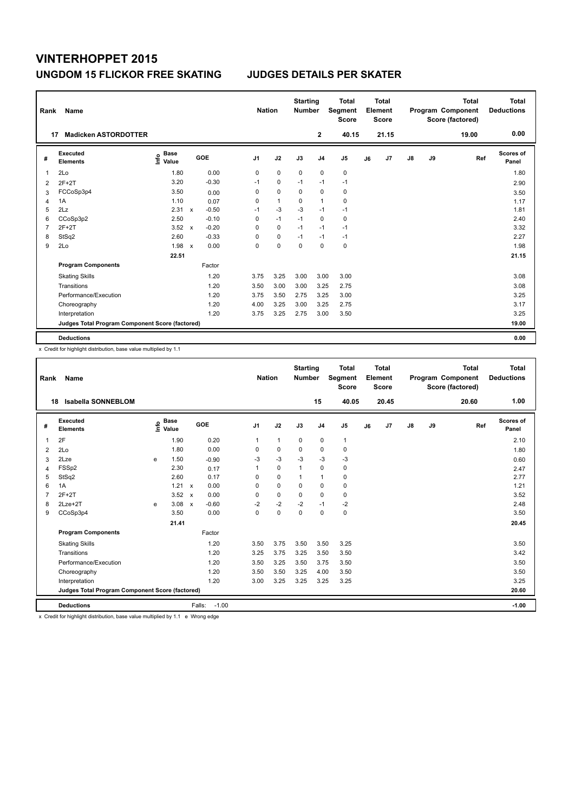| Rank | Name                                            |                                  |              |         |                | <b>Nation</b> | <b>Starting</b><br><b>Number</b> |                | <b>Total</b><br>Segment<br><b>Score</b> |    | <b>Total</b><br>Element<br><b>Score</b> |    |    | <b>Total</b><br>Program Component<br>Score (factored) | <b>Total</b><br><b>Deductions</b> |
|------|-------------------------------------------------|----------------------------------|--------------|---------|----------------|---------------|----------------------------------|----------------|-----------------------------------------|----|-----------------------------------------|----|----|-------------------------------------------------------|-----------------------------------|
| 17   | <b>Madicken ASTORDOTTER</b>                     |                                  |              |         |                |               |                                  | $\mathbf{2}$   | 40.15                                   |    | 21.15                                   |    |    | 19.00                                                 | 0.00                              |
| #    | <b>Executed</b><br><b>Elements</b>              | <b>Base</b><br>e Base<br>⊆ Value |              | GOE     | J <sub>1</sub> | J2            | J3                               | J <sub>4</sub> | J <sub>5</sub>                          | J6 | J7                                      | J8 | J9 | Ref                                                   | <b>Scores of</b><br>Panel         |
| 1    | 2Lo                                             | 1.80                             |              | 0.00    | 0              | $\mathbf 0$   | $\mathbf 0$                      | $\mathbf 0$    | $\pmb{0}$                               |    |                                         |    |    |                                                       | 1.80                              |
| 2    | $2F+2T$                                         | 3.20                             |              | $-0.30$ | $-1$           | 0             | $-1$                             | $-1$           | $-1$                                    |    |                                         |    |    |                                                       | 2.90                              |
| 3    | FCCoSp3p4                                       | 3.50                             |              | 0.00    | 0              | $\pmb{0}$     | 0                                | 0              | 0                                       |    |                                         |    |    |                                                       | 3.50                              |
| 4    | 1A                                              | 1.10                             |              | 0.07    | 0              | $\mathbf{1}$  | 0                                | $\mathbf{1}$   | 0                                       |    |                                         |    |    |                                                       | 1.17                              |
| 5    | 2Lz                                             | 2.31                             | $\mathsf{x}$ | $-0.50$ | $-1$           | $-3$          | $-3$                             | $-1$           | $-1$                                    |    |                                         |    |    |                                                       | 1.81                              |
| 6    | CCoSp3p2                                        | 2.50                             |              | $-0.10$ | 0              | $-1$          | $-1$                             | $\mathbf 0$    | $\mathbf 0$                             |    |                                         |    |    |                                                       | 2.40                              |
| 7    | $2F+2T$                                         | 3.52                             | $\mathsf{x}$ | $-0.20$ | 0              | 0             | $-1$                             | $-1$           | $-1$                                    |    |                                         |    |    |                                                       | 3.32                              |
| 8    | StSq2                                           | 2.60                             |              | $-0.33$ | 0              | $\mathbf 0$   | $-1$                             | -1             | $-1$                                    |    |                                         |    |    |                                                       | 2.27                              |
| 9    | 2Lo                                             | 1.98                             | $\mathsf{x}$ | 0.00    | 0              | 0             | $\Omega$                         | $\Omega$       | 0                                       |    |                                         |    |    |                                                       | 1.98                              |
|      |                                                 | 22.51                            |              |         |                |               |                                  |                |                                         |    |                                         |    |    |                                                       | 21.15                             |
|      | <b>Program Components</b>                       |                                  |              | Factor  |                |               |                                  |                |                                         |    |                                         |    |    |                                                       |                                   |
|      | <b>Skating Skills</b>                           |                                  |              | 1.20    | 3.75           | 3.25          | 3.00                             | 3.00           | 3.00                                    |    |                                         |    |    |                                                       | 3.08                              |
|      | Transitions                                     |                                  |              | 1.20    | 3.50           | 3.00          | 3.00                             | 3.25           | 2.75                                    |    |                                         |    |    |                                                       | 3.08                              |
|      | Performance/Execution                           |                                  |              | 1.20    | 3.75           | 3.50          | 2.75                             | 3.25           | 3.00                                    |    |                                         |    |    |                                                       | 3.25                              |
|      | Choreography                                    |                                  |              | 1.20    | 4.00           | 3.25          | 3.00                             | 3.25           | 2.75                                    |    |                                         |    |    |                                                       | 3.17                              |
|      | Interpretation                                  |                                  |              | 1.20    | 3.75           | 3.25          | 2.75                             | 3.00           | 3.50                                    |    |                                         |    |    |                                                       | 3.25                              |
|      | Judges Total Program Component Score (factored) |                                  |              |         |                |               |                                  |                |                                         |    |                                         |    |    |                                                       | 19.00                             |
|      | <b>Deductions</b>                               |                                  |              |         |                |               |                                  |                |                                         |    |                                         |    |    |                                                       | 0.00                              |

x Credit for highlight distribution, base value multiplied by 1.1

| Rank           | Name                                            |   |                                  |                           |                   | <b>Nation</b>  |                | <b>Starting</b><br><b>Number</b> |                | <b>Total</b><br>Segment<br><b>Score</b> |    | Total<br>Element<br><b>Score</b> |    |    | <b>Total</b><br>Program Component<br>Score (factored) | Total<br><b>Deductions</b> |
|----------------|-------------------------------------------------|---|----------------------------------|---------------------------|-------------------|----------------|----------------|----------------------------------|----------------|-----------------------------------------|----|----------------------------------|----|----|-------------------------------------------------------|----------------------------|
| 18             | <b>Isabella SONNEBLOM</b>                       |   |                                  |                           |                   |                |                |                                  | 15             | 40.05                                   |    | 20.45                            |    |    | 20.60                                                 | 1.00                       |
| #              | Executed<br><b>Elements</b>                     |   | <b>Base</b><br>e Base<br>⊆ Value |                           | GOE               | J <sub>1</sub> | J2             | J3                               | J <sub>4</sub> | J <sub>5</sub>                          | J6 | J7                               | J8 | J9 | Ref                                                   | <b>Scores of</b><br>Panel  |
| 1              | 2F                                              |   | 1.90                             |                           | 0.20              | $\mathbf{1}$   | $\overline{1}$ | 0                                | $\mathbf 0$    | $\mathbf{1}$                            |    |                                  |    |    |                                                       | 2.10                       |
| $\overline{2}$ | 2Lo                                             |   | 1.80                             |                           | 0.00              | 0              | $\mathbf 0$    | $\mathbf 0$                      | $\mathbf 0$    | $\mathbf 0$                             |    |                                  |    |    |                                                       | 1.80                       |
| 3              | 2Lze                                            | е | 1.50                             |                           | $-0.90$           | $-3$           | $-3$           | $-3$                             | $-3$           | $-3$                                    |    |                                  |    |    |                                                       | 0.60                       |
| 4              | FSSp2                                           |   | 2.30                             |                           | 0.17              | $\mathbf{1}$   | $\mathbf 0$    | $\mathbf{1}$                     | $\mathbf 0$    | 0                                       |    |                                  |    |    |                                                       | 2.47                       |
| 5              | StSq2                                           |   | 2.60                             |                           | 0.17              | 0              | $\mathbf 0$    | $\mathbf{1}$                     | $\mathbf{1}$   | $\mathbf 0$                             |    |                                  |    |    |                                                       | 2.77                       |
| 6              | 1A                                              |   | 1.21                             | $\boldsymbol{\mathsf{x}}$ | 0.00              | 0              | 0              | 0                                | 0              | 0                                       |    |                                  |    |    |                                                       | 1.21                       |
| $\overline{7}$ | $2F+2T$                                         |   | 3.52                             | $\boldsymbol{\mathsf{x}}$ | 0.00              | 0              | $\pmb{0}$      | $\mathbf 0$                      | $\mathbf 0$    | $\pmb{0}$                               |    |                                  |    |    |                                                       | 3.52                       |
| 8              | $2$ Lze $+2$ T                                  | e | 3.08                             | $\boldsymbol{\mathsf{x}}$ | $-0.60$           | $-2$           | $-2$           | $-2$                             | $-1$           | $-2$                                    |    |                                  |    |    |                                                       | 2.48                       |
| 9              | CCoSp3p4                                        |   | 3.50                             |                           | 0.00              | $\Omega$       | $\mathbf 0$    | $\mathbf 0$                      | $\mathbf 0$    | $\mathbf 0$                             |    |                                  |    |    |                                                       | 3.50                       |
|                |                                                 |   | 21.41                            |                           |                   |                |                |                                  |                |                                         |    |                                  |    |    |                                                       | 20.45                      |
|                | <b>Program Components</b>                       |   |                                  |                           | Factor            |                |                |                                  |                |                                         |    |                                  |    |    |                                                       |                            |
|                | <b>Skating Skills</b>                           |   |                                  |                           | 1.20              | 3.50           | 3.75           | 3.50                             | 3.50           | 3.25                                    |    |                                  |    |    |                                                       | 3.50                       |
|                | Transitions                                     |   |                                  |                           | 1.20              | 3.25           | 3.75           | 3.25                             | 3.50           | 3.50                                    |    |                                  |    |    |                                                       | 3.42                       |
|                | Performance/Execution                           |   |                                  |                           | 1.20              | 3.50           | 3.25           | 3.50                             | 3.75           | 3.50                                    |    |                                  |    |    |                                                       | 3.50                       |
|                | Choreography                                    |   |                                  |                           | 1.20              | 3.50           | 3.50           | 3.25                             | 4.00           | 3.50                                    |    |                                  |    |    |                                                       | 3.50                       |
|                | Interpretation                                  |   |                                  |                           | 1.20              | 3.00           | 3.25           | 3.25                             | 3.25           | 3.25                                    |    |                                  |    |    |                                                       | 3.25                       |
|                | Judges Total Program Component Score (factored) |   |                                  |                           |                   |                |                |                                  |                |                                         |    |                                  |    |    |                                                       | 20.60                      |
|                | <b>Deductions</b>                               |   |                                  |                           | $-1.00$<br>Falls: |                |                |                                  |                |                                         |    |                                  |    |    |                                                       | $-1.00$                    |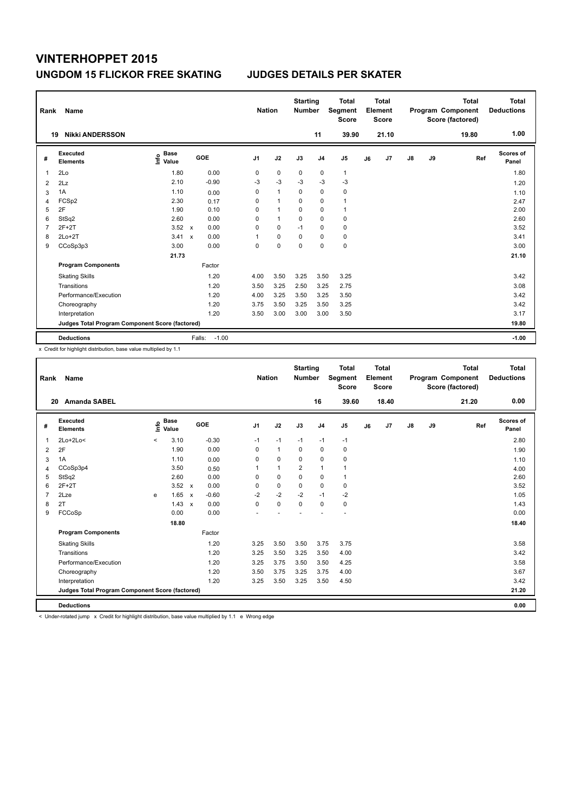| Rank           | Name                                            |                                  |              |         | <b>Nation</b>  |              | <b>Starting</b><br><b>Number</b> |                | <b>Total</b><br>Segment<br><b>Score</b> |    | <b>Total</b><br>Element<br><b>Score</b> |    |    | <b>Total</b><br>Program Component<br>Score (factored) | <b>Total</b><br><b>Deductions</b> |
|----------------|-------------------------------------------------|----------------------------------|--------------|---------|----------------|--------------|----------------------------------|----------------|-----------------------------------------|----|-----------------------------------------|----|----|-------------------------------------------------------|-----------------------------------|
|                | <b>Nikki ANDERSSON</b><br>19                    |                                  |              |         |                |              |                                  | 11             | 39.90                                   |    | 21.10                                   |    |    | 19.80                                                 | 1.00                              |
| #              | Executed<br><b>Elements</b>                     | <b>Base</b><br>e Base<br>⊆ Value | GOE          |         | J <sub>1</sub> | J2           | J3                               | J <sub>4</sub> | J <sub>5</sub>                          | J6 | J7                                      | J8 | J9 | Ref                                                   | Scores of<br>Panel                |
| 1              | 2Lo                                             | 1.80                             |              | 0.00    | 0              | $\mathbf 0$  | 0                                | $\mathbf 0$    | $\mathbf{1}$                            |    |                                         |    |    |                                                       | 1.80                              |
| 2              | 2Lz                                             | 2.10                             |              | $-0.90$ | $-3$           | $-3$         | $-3$                             | $-3$           | $-3$                                    |    |                                         |    |    |                                                       | 1.20                              |
| 3              | 1A                                              | 1.10                             |              | 0.00    | 0              | $\mathbf{1}$ | 0                                | $\mathbf 0$    | $\pmb{0}$                               |    |                                         |    |    |                                                       | 1.10                              |
| 4              | FCSp2                                           | 2.30                             |              | 0.17    | 0              | $\mathbf{1}$ | $\Omega$                         | $\mathbf 0$    | $\mathbf{1}$                            |    |                                         |    |    |                                                       | 2.47                              |
| 5              | 2F                                              | 1.90                             |              | 0.10    | 0              | $\mathbf{1}$ | 0                                | $\Omega$       | $\mathbf{1}$                            |    |                                         |    |    |                                                       | 2.00                              |
| 6              | StSq2                                           | 2.60                             |              | 0.00    | 0              | $\mathbf{1}$ | 0                                | $\mathbf 0$    | $\pmb{0}$                               |    |                                         |    |    |                                                       | 2.60                              |
| $\overline{7}$ | $2F+2T$                                         | 3.52                             | $\mathbf{x}$ | 0.00    | 0              | $\Omega$     | $-1$                             | 0              | $\pmb{0}$                               |    |                                         |    |    |                                                       | 3.52                              |
| 8              | $2Lo+2T$                                        | 3.41                             | $\mathbf x$  | 0.00    | 1              | 0            | 0                                | $\Omega$       | $\pmb{0}$                               |    |                                         |    |    |                                                       | 3.41                              |
| 9              | CCoSp3p3                                        | 3.00                             |              | 0.00    | 0              | $\mathbf 0$  | 0                                | 0              | $\pmb{0}$                               |    |                                         |    |    |                                                       | 3.00                              |
|                |                                                 | 21.73                            |              |         |                |              |                                  |                |                                         |    |                                         |    |    |                                                       | 21.10                             |
|                | <b>Program Components</b>                       |                                  |              | Factor  |                |              |                                  |                |                                         |    |                                         |    |    |                                                       |                                   |
|                | <b>Skating Skills</b>                           |                                  |              | 1.20    | 4.00           | 3.50         | 3.25                             | 3.50           | 3.25                                    |    |                                         |    |    |                                                       | 3.42                              |
|                | Transitions                                     |                                  |              | 1.20    | 3.50           | 3.25         | 2.50                             | 3.25           | 2.75                                    |    |                                         |    |    |                                                       | 3.08                              |
|                | Performance/Execution                           |                                  |              | 1.20    | 4.00           | 3.25         | 3.50                             | 3.25           | 3.50                                    |    |                                         |    |    |                                                       | 3.42                              |
|                | Choreography                                    |                                  |              | 1.20    | 3.75           | 3.50         | 3.25                             | 3.50           | 3.25                                    |    |                                         |    |    |                                                       | 3.42                              |
|                | Interpretation                                  |                                  |              | 1.20    | 3.50           | 3.00         | 3.00                             | 3.00           | 3.50                                    |    |                                         |    |    |                                                       | 3.17                              |
|                | Judges Total Program Component Score (factored) |                                  |              |         |                |              |                                  |                |                                         |    |                                         |    |    |                                                       | 19.80                             |
|                | <b>Deductions</b>                               |                                  | Falls:       | $-1.00$ |                |              |                                  |                |                                         |    |                                         |    |    |                                                       | $-1.00$                           |

x Credit for highlight distribution, base value multiplied by 1.1

| Rank           | Name                                            |         |                      |              |         |                | <b>Nation</b>  | <b>Starting</b><br><b>Number</b> |                | <b>Total</b><br>Segment<br><b>Score</b> |    | Total<br>Element<br><b>Score</b> |               |    | <b>Total</b><br>Program Component<br>Score (factored) | Total<br><b>Deductions</b> |
|----------------|-------------------------------------------------|---------|----------------------|--------------|---------|----------------|----------------|----------------------------------|----------------|-----------------------------------------|----|----------------------------------|---------------|----|-------------------------------------------------------|----------------------------|
|                | <b>Amanda SABEL</b><br>20                       |         |                      |              |         |                |                |                                  | 16             | 39.60                                   |    | 18.40                            |               |    | 21.20                                                 | 0.00                       |
| #              | Executed<br><b>Elements</b>                     | ١nf٥    | <b>Base</b><br>Value |              | GOE     | J <sub>1</sub> | J2             | J3                               | J <sub>4</sub> | J <sub>5</sub>                          | J6 | J7                               | $\mathsf{J}8$ | J9 | Ref                                                   | Scores of<br>Panel         |
| 1              | $2Lo+2Lo<$                                      | $\prec$ | 3.10                 |              | $-0.30$ | $-1$           | $-1$           | $-1$                             | $-1$           | $-1$                                    |    |                                  |               |    |                                                       | 2.80                       |
| $\overline{2}$ | 2F                                              |         | 1.90                 |              | 0.00    | 0              | $\mathbf{1}$   | 0                                | 0              | 0                                       |    |                                  |               |    |                                                       | 1.90                       |
| 3              | 1A                                              |         | 1.10                 |              | 0.00    | 0              | $\mathbf 0$    | 0                                | $\mathbf 0$    | $\mathbf 0$                             |    |                                  |               |    |                                                       | 1.10                       |
| 4              | CCoSp3p4                                        |         | 3.50                 |              | 0.50    | 1              | $\overline{1}$ | $\overline{2}$                   | $\mathbf{1}$   | 1                                       |    |                                  |               |    |                                                       | 4.00                       |
| 5              | StSq2                                           |         | 2.60                 |              | 0.00    | 0              | $\mathbf 0$    | 0                                | 0              | $\mathbf{1}$                            |    |                                  |               |    |                                                       | 2.60                       |
| 6              | $2F+2T$                                         |         | $3.52 \times$        |              | 0.00    | 0              | $\mathbf 0$    | $\mathbf 0$                      | 0              | 0                                       |    |                                  |               |    |                                                       | 3.52                       |
| $\overline{7}$ | 2Lze                                            | e       | 1.65                 | $\mathsf{x}$ | $-0.60$ | $-2$           | $-2$           | $-2$                             | $-1$           | $-2$                                    |    |                                  |               |    |                                                       | 1.05                       |
| 8              | 2T                                              |         | 1.43                 | $\mathsf{x}$ | 0.00    | $\Omega$       | $\mathbf 0$    | $\mathbf 0$                      | $\mathbf 0$    | 0                                       |    |                                  |               |    |                                                       | 1.43                       |
| 9              | FCCoSp                                          |         | 0.00                 |              | 0.00    |                |                |                                  |                |                                         |    |                                  |               |    |                                                       | 0.00                       |
|                |                                                 |         | 18.80                |              |         |                |                |                                  |                |                                         |    |                                  |               |    |                                                       | 18.40                      |
|                | <b>Program Components</b>                       |         |                      |              | Factor  |                |                |                                  |                |                                         |    |                                  |               |    |                                                       |                            |
|                | <b>Skating Skills</b>                           |         |                      |              | 1.20    | 3.25           | 3.50           | 3.50                             | 3.75           | 3.75                                    |    |                                  |               |    |                                                       | 3.58                       |
|                | Transitions                                     |         |                      |              | 1.20    | 3.25           | 3.50           | 3.25                             | 3.50           | 4.00                                    |    |                                  |               |    |                                                       | 3.42                       |
|                | Performance/Execution                           |         |                      |              | 1.20    | 3.25           | 3.75           | 3.50                             | 3.50           | 4.25                                    |    |                                  |               |    |                                                       | 3.58                       |
|                | Choreography                                    |         |                      |              | 1.20    | 3.50           | 3.75           | 3.25                             | 3.75           | 4.00                                    |    |                                  |               |    |                                                       | 3.67                       |
|                | Interpretation                                  |         |                      |              | 1.20    | 3.25           | 3.50           | 3.25                             | 3.50           | 4.50                                    |    |                                  |               |    |                                                       | 3.42                       |
|                | Judges Total Program Component Score (factored) |         |                      |              |         |                |                |                                  |                |                                         |    |                                  |               |    |                                                       | 21.20                      |
|                | <b>Deductions</b>                               |         |                      |              |         |                |                |                                  |                |                                         |    |                                  |               |    |                                                       | 0.00                       |

< Under-rotated jump x Credit for highlight distribution, base value multiplied by 1.1 e Wrong edge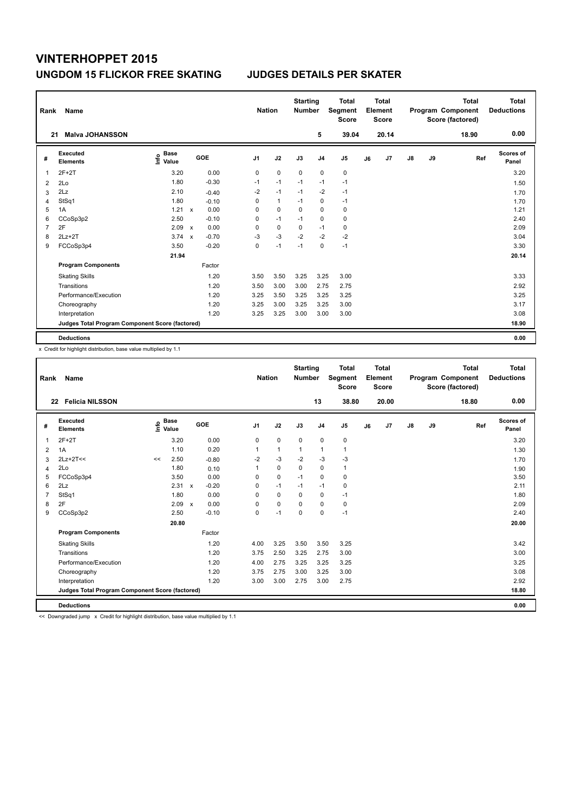| Rank           | Name                                            |                                  |              |         |                | <b>Nation</b> |              | <b>Starting</b><br><b>Number</b> |                | <b>Total</b><br>Segment<br><b>Score</b> |    | <b>Total</b><br>Element<br><b>Score</b> |               |    | <b>Total</b><br>Program Component<br>Score (factored) | <b>Total</b><br><b>Deductions</b> |
|----------------|-------------------------------------------------|----------------------------------|--------------|---------|----------------|---------------|--------------|----------------------------------|----------------|-----------------------------------------|----|-----------------------------------------|---------------|----|-------------------------------------------------------|-----------------------------------|
| 21             | <b>Malva JOHANSSON</b>                          |                                  |              |         |                |               |              |                                  | 5              | 39.04                                   |    | 20.14                                   |               |    | 18.90                                                 | 0.00                              |
| #              | Executed<br><b>Elements</b>                     | <b>Base</b><br>e Base<br>⊆ Value |              | GOE     | J <sub>1</sub> |               | J2           | J3                               | J <sub>4</sub> | J <sub>5</sub>                          | J6 | J7                                      | $\mathsf{J}8$ | J9 | Ref                                                   | Scores of<br>Panel                |
| 1              | $2F+2T$                                         | 3.20                             |              | 0.00    | 0              |               | $\mathbf 0$  | 0                                | $\mathbf 0$    | 0                                       |    |                                         |               |    |                                                       | 3.20                              |
| $\overline{2}$ | 2Lo                                             | 1.80                             |              | $-0.30$ | $-1$           |               | $-1$         | $-1$                             | $-1$           | $-1$                                    |    |                                         |               |    |                                                       | 1.50                              |
| 3              | 2Lz                                             | 2.10                             |              | $-0.40$ | $-2$           |               | $-1$         | $-1$                             | $-2$           | $-1$                                    |    |                                         |               |    |                                                       | 1.70                              |
| 4              | StSq1                                           | 1.80                             |              | $-0.10$ | 0              |               | $\mathbf{1}$ | $-1$                             | $\mathbf 0$    | $-1$                                    |    |                                         |               |    |                                                       | 1.70                              |
| 5              | 1A                                              | 1.21                             | $\mathsf{x}$ | 0.00    | 0              |               | $\mathbf 0$  | $\Omega$                         | 0              | 0                                       |    |                                         |               |    |                                                       | 1.21                              |
| 6              | CCoSp3p2                                        | 2.50                             |              | $-0.10$ | 0              |               | $-1$         | $-1$                             | $\mathbf 0$    | $\mathbf 0$                             |    |                                         |               |    |                                                       | 2.40                              |
| 7              | 2F                                              | 2.09                             | $\mathsf{x}$ | 0.00    | 0              |               | $\mathbf 0$  | 0                                | $-1$           | 0                                       |    |                                         |               |    |                                                       | 2.09                              |
| 8              | $2Lz+2T$                                        | 3.74                             | $\mathsf{x}$ | $-0.70$ | $-3$           |               | $-3$         | $-2$                             | $-2$           | $-2$                                    |    |                                         |               |    |                                                       | 3.04                              |
| 9              | FCCoSp3p4                                       | 3.50                             |              | $-0.20$ | 0              |               | $-1$         | $-1$                             | 0              | $-1$                                    |    |                                         |               |    |                                                       | 3.30                              |
|                |                                                 | 21.94                            |              |         |                |               |              |                                  |                |                                         |    |                                         |               |    |                                                       | 20.14                             |
|                | <b>Program Components</b>                       |                                  |              | Factor  |                |               |              |                                  |                |                                         |    |                                         |               |    |                                                       |                                   |
|                | <b>Skating Skills</b>                           |                                  |              | 1.20    | 3.50           |               | 3.50         | 3.25                             | 3.25           | 3.00                                    |    |                                         |               |    |                                                       | 3.33                              |
|                | Transitions                                     |                                  |              | 1.20    | 3.50           |               | 3.00         | 3.00                             | 2.75           | 2.75                                    |    |                                         |               |    |                                                       | 2.92                              |
|                | Performance/Execution                           |                                  |              | 1.20    | 3.25           |               | 3.50         | 3.25                             | 3.25           | 3.25                                    |    |                                         |               |    |                                                       | 3.25                              |
|                | Choreography                                    |                                  |              | 1.20    | 3.25           |               | 3.00         | 3.25                             | 3.25           | 3.00                                    |    |                                         |               |    |                                                       | 3.17                              |
|                | Interpretation                                  |                                  |              | 1.20    | 3.25           |               | 3.25         | 3.00                             | 3.00           | 3.00                                    |    |                                         |               |    |                                                       | 3.08                              |
|                | Judges Total Program Component Score (factored) |                                  |              |         |                |               |              |                                  |                |                                         |    |                                         |               |    |                                                       | 18.90                             |
|                | <b>Deductions</b>                               |                                  |              |         |                |               |              |                                  |                |                                         |    |                                         |               |    |                                                       | 0.00                              |

x Credit for highlight distribution, base value multiplied by 1.1

| Rank           | Name                                            |    |                                  |              |         |                | <b>Nation</b> |              | <b>Starting</b><br><b>Number</b> |                | <b>Total</b><br>Segment<br><b>Score</b> |    | Total<br>Element<br><b>Score</b> |               |    | <b>Total</b><br>Program Component<br>Score (factored) | Total<br><b>Deductions</b> |
|----------------|-------------------------------------------------|----|----------------------------------|--------------|---------|----------------|---------------|--------------|----------------------------------|----------------|-----------------------------------------|----|----------------------------------|---------------|----|-------------------------------------------------------|----------------------------|
|                | <b>Felicia NILSSON</b><br>22                    |    |                                  |              |         |                |               |              |                                  | 13             | 38.80                                   |    | 20.00                            |               |    | 18.80                                                 | 0.00                       |
| #              | Executed<br><b>Elements</b>                     |    | <b>Base</b><br>e Base<br>⊆ Value |              | GOE     | J <sub>1</sub> |               | J2           | J3                               | J <sub>4</sub> | J <sub>5</sub>                          | J6 | J7                               | $\mathsf{J}8$ | J9 | Ref                                                   | Scores of<br>Panel         |
| 1              | $2F+2T$                                         |    | 3.20                             |              | 0.00    | 0              |               | $\mathbf 0$  | $\mathbf 0$                      | $\mathbf 0$    | $\mathbf 0$                             |    |                                  |               |    |                                                       | 3.20                       |
| $\overline{2}$ | 1A                                              |    | 1.10                             |              | 0.20    | 1              |               | $\mathbf{1}$ | $\mathbf{1}$                     | $\mathbf{1}$   | $\mathbf{1}$                            |    |                                  |               |    |                                                       | 1.30                       |
| 3              | $2Lz+2T<<$                                      | << | 2.50                             |              | $-0.80$ | $-2$           |               | $-3$         | $-2$                             | $-3$           | $-3$                                    |    |                                  |               |    |                                                       | 1.70                       |
| 4              | 2Lo                                             |    | 1.80                             |              | 0.10    | 1              |               | $\mathbf 0$  | $\Omega$                         | $\mathbf 0$    | $\mathbf{1}$                            |    |                                  |               |    |                                                       | 1.90                       |
| 5              | FCCoSp3p4                                       |    | 3.50                             |              | 0.00    | 0              |               | $\mathbf 0$  | $-1$                             | $\mathbf 0$    | $\mathbf 0$                             |    |                                  |               |    |                                                       | 3.50                       |
| 6              | 2Lz                                             |    | 2.31                             | $\mathsf{x}$ | $-0.20$ | 0              |               | $-1$         | $-1$                             | $-1$           | 0                                       |    |                                  |               |    |                                                       | 2.11                       |
| $\overline{7}$ | StSq1                                           |    | 1.80                             |              | 0.00    | $\mathbf 0$    |               | $\mathbf 0$  | $\Omega$                         | $\mathbf 0$    | $-1$                                    |    |                                  |               |    |                                                       | 1.80                       |
| 8              | 2F                                              |    | 2.09                             | $\mathsf{x}$ | 0.00    | $\Omega$       |               | 0            | 0                                | 0              | 0                                       |    |                                  |               |    |                                                       | 2.09                       |
| 9              | CCoSp3p2                                        |    | 2.50                             |              | $-0.10$ | 0              |               | $-1$         | $\mathbf 0$                      | $\mathbf 0$    | $-1$                                    |    |                                  |               |    |                                                       | 2.40                       |
|                |                                                 |    | 20.80                            |              |         |                |               |              |                                  |                |                                         |    |                                  |               |    |                                                       | 20.00                      |
|                | <b>Program Components</b>                       |    |                                  |              | Factor  |                |               |              |                                  |                |                                         |    |                                  |               |    |                                                       |                            |
|                | <b>Skating Skills</b>                           |    |                                  |              | 1.20    | 4.00           |               | 3.25         | 3.50                             | 3.50           | 3.25                                    |    |                                  |               |    |                                                       | 3.42                       |
|                | Transitions                                     |    |                                  |              | 1.20    | 3.75           |               | 2.50         | 3.25                             | 2.75           | 3.00                                    |    |                                  |               |    |                                                       | 3.00                       |
|                | Performance/Execution                           |    |                                  |              | 1.20    | 4.00           |               | 2.75         | 3.25                             | 3.25           | 3.25                                    |    |                                  |               |    |                                                       | 3.25                       |
|                | Choreography                                    |    |                                  |              | 1.20    | 3.75           |               | 2.75         | 3.00                             | 3.25           | 3.00                                    |    |                                  |               |    |                                                       | 3.08                       |
|                | Interpretation                                  |    |                                  |              | 1.20    | 3.00           |               | 3.00         | 2.75                             | 3.00           | 2.75                                    |    |                                  |               |    |                                                       | 2.92                       |
|                | Judges Total Program Component Score (factored) |    |                                  |              |         |                |               |              |                                  |                |                                         |    |                                  |               |    |                                                       | 18.80                      |
|                | <b>Deductions</b>                               |    |                                  |              |         |                |               |              |                                  |                |                                         |    |                                  |               |    |                                                       | 0.00                       |

<< Downgraded jump x Credit for highlight distribution, base value multiplied by 1.1